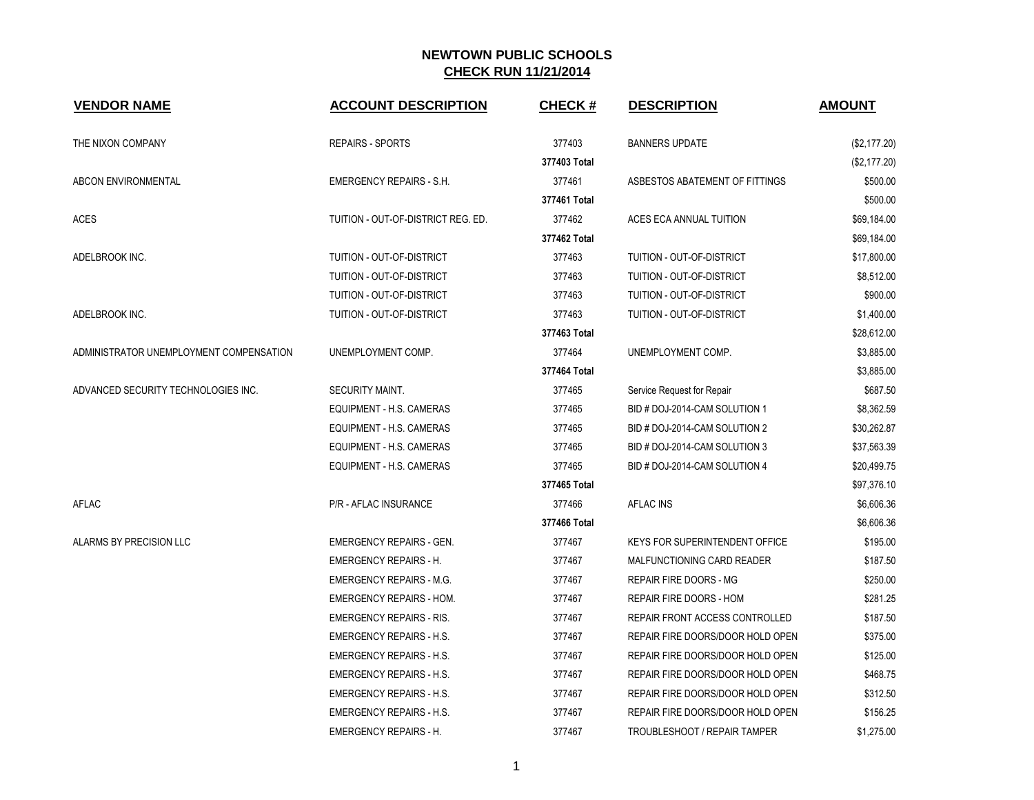| <b>VENDOR NAME</b>                      | <b>ACCOUNT DESCRIPTION</b>         | <b>CHECK#</b> | <b>DESCRIPTION</b>                    | <b>AMOUNT</b> |
|-----------------------------------------|------------------------------------|---------------|---------------------------------------|---------------|
| THE NIXON COMPANY                       | <b>REPAIRS - SPORTS</b>            | 377403        | <b>BANNERS UPDATE</b>                 | (\$2,177.20)  |
|                                         |                                    | 377403 Total  |                                       | (\$2,177.20)  |
| <b>ABCON ENVIRONMENTAL</b>              | <b>EMERGENCY REPAIRS - S.H.</b>    | 377461        | ASBESTOS ABATEMENT OF FITTINGS        | \$500.00      |
|                                         |                                    | 377461 Total  |                                       | \$500.00      |
| ACES                                    | TUITION - OUT-OF-DISTRICT REG. ED. | 377462        | ACES ECA ANNUAL TUITION               | \$69,184.00   |
|                                         |                                    | 377462 Total  |                                       | \$69,184.00   |
| ADELBROOK INC.                          | TUITION - OUT-OF-DISTRICT          | 377463        | TUITION - OUT-OF-DISTRICT             | \$17,800.00   |
|                                         | TUITION - OUT-OF-DISTRICT          | 377463        | TUITION - OUT-OF-DISTRICT             | \$8,512.00    |
|                                         | TUITION - OUT-OF-DISTRICT          | 377463        | TUITION - OUT-OF-DISTRICT             | \$900.00      |
| ADELBROOK INC.                          | TUITION - OUT-OF-DISTRICT          | 377463        | TUITION - OUT-OF-DISTRICT             | \$1,400.00    |
|                                         |                                    | 377463 Total  |                                       | \$28,612.00   |
| ADMINISTRATOR UNEMPLOYMENT COMPENSATION | UNEMPLOYMENT COMP.                 | 377464        | UNEMPLOYMENT COMP.                    | \$3,885.00    |
|                                         |                                    | 377464 Total  |                                       | \$3,885.00    |
| ADVANCED SECURITY TECHNOLOGIES INC.     | <b>SECURITY MAINT.</b>             | 377465        | Service Request for Repair            | \$687.50      |
|                                         | EQUIPMENT - H.S. CAMERAS           | 377465        | BID # DOJ-2014-CAM SOLUTION 1         | \$8,362.59    |
|                                         | EQUIPMENT - H.S. CAMERAS           | 377465        | BID # DOJ-2014-CAM SOLUTION 2         | \$30,262.87   |
|                                         | EQUIPMENT - H.S. CAMERAS           | 377465        | BID # DOJ-2014-CAM SOLUTION 3         | \$37,563.39   |
|                                         | EQUIPMENT - H.S. CAMERAS           | 377465        | BID # DOJ-2014-CAM SOLUTION 4         | \$20,499.75   |
|                                         |                                    | 377465 Total  |                                       | \$97,376.10   |
| AFLAC                                   | P/R - AFLAC INSURANCE              | 377466        | <b>AFLAC INS</b>                      | \$6,606.36    |
|                                         |                                    | 377466 Total  |                                       | \$6,606.36    |
| ALARMS BY PRECISION LLC                 | <b>EMERGENCY REPAIRS - GEN.</b>    | 377467        | <b>KEYS FOR SUPERINTENDENT OFFICE</b> | \$195.00      |
|                                         | <b>EMERGENCY REPAIRS - H.</b>      | 377467        | MALFUNCTIONING CARD READER            | \$187.50      |
|                                         | <b>EMERGENCY REPAIRS - M.G.</b>    | 377467        | REPAIR FIRE DOORS - MG                | \$250.00      |
|                                         | <b>EMERGENCY REPAIRS - HOM.</b>    | 377467        | REPAIR FIRE DOORS - HOM               | \$281.25      |
|                                         | <b>EMERGENCY REPAIRS - RIS.</b>    | 377467        | REPAIR FRONT ACCESS CONTROLLED        | \$187.50      |
|                                         | <b>EMERGENCY REPAIRS - H.S.</b>    | 377467        | REPAIR FIRE DOORS/DOOR HOLD OPEN      | \$375.00      |
|                                         | <b>EMERGENCY REPAIRS - H.S.</b>    | 377467        | REPAIR FIRE DOORS/DOOR HOLD OPEN      | \$125.00      |
|                                         | <b>EMERGENCY REPAIRS - H.S.</b>    | 377467        | REPAIR FIRE DOORS/DOOR HOLD OPEN      | \$468.75      |
|                                         | <b>EMERGENCY REPAIRS - H.S.</b>    | 377467        | REPAIR FIRE DOORS/DOOR HOLD OPEN      | \$312.50      |
|                                         | <b>EMERGENCY REPAIRS - H.S.</b>    | 377467        | REPAIR FIRE DOORS/DOOR HOLD OPEN      | \$156.25      |
|                                         | <b>EMERGENCY REPAIRS - H.</b>      | 377467        | <b>TROUBLESHOOT / REPAIR TAMPER</b>   | \$1,275.00    |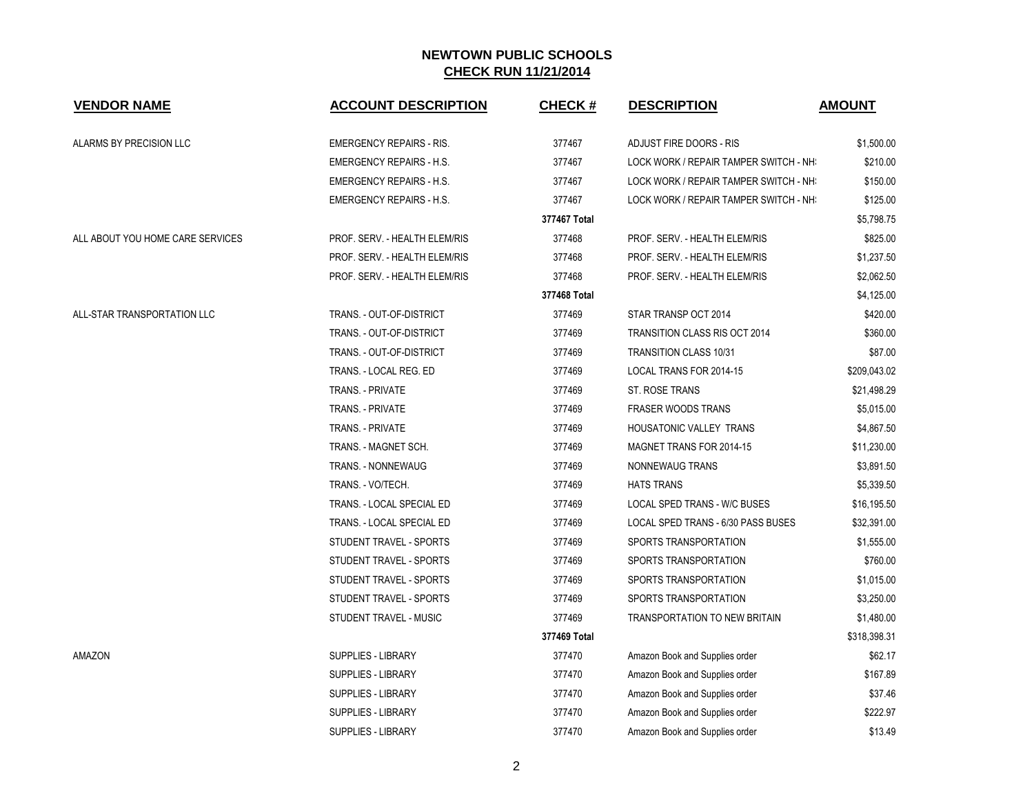| <b>VENDOR NAME</b>               | <b>ACCOUNT DESCRIPTION</b>      | <b>CHECK#</b> | <b>DESCRIPTION</b>                     | <b>AMOUNT</b> |
|----------------------------------|---------------------------------|---------------|----------------------------------------|---------------|
| ALARMS BY PRECISION LLC          | <b>EMERGENCY REPAIRS - RIS.</b> | 377467        | ADJUST FIRE DOORS - RIS                | \$1,500.00    |
|                                  | <b>EMERGENCY REPAIRS - H.S.</b> | 377467        | LOCK WORK / REPAIR TAMPER SWITCH - NH: | \$210.00      |
|                                  | <b>EMERGENCY REPAIRS - H.S.</b> | 377467        | LOCK WORK / REPAIR TAMPER SWITCH - NH: | \$150.00      |
|                                  | <b>EMERGENCY REPAIRS - H.S.</b> | 377467        | LOCK WORK / REPAIR TAMPER SWITCH - NH: | \$125.00      |
|                                  |                                 | 377467 Total  |                                        | \$5,798.75    |
| ALL ABOUT YOU HOME CARE SERVICES | PROF. SERV. - HEALTH ELEM/RIS   | 377468        | PROF. SERV. - HEALTH ELEM/RIS          | \$825.00      |
|                                  | PROF. SERV. - HEALTH ELEM/RIS   | 377468        | PROF. SERV. - HEALTH ELEM/RIS          | \$1,237.50    |
|                                  | PROF. SERV. - HEALTH ELEM/RIS   | 377468        | PROF. SERV. - HEALTH ELEM/RIS          | \$2,062.50    |
|                                  |                                 | 377468 Total  |                                        | \$4,125.00    |
| ALL-STAR TRANSPORTATION LLC      | TRANS. - OUT-OF-DISTRICT        | 377469        | STAR TRANSP OCT 2014                   | \$420.00      |
|                                  | TRANS. - OUT-OF-DISTRICT        | 377469        | <b>TRANSITION CLASS RIS OCT 2014</b>   | \$360.00      |
|                                  | TRANS. - OUT-OF-DISTRICT        | 377469        | <b>TRANSITION CLASS 10/31</b>          | \$87.00       |
|                                  | TRANS. - LOCAL REG. ED          | 377469        | LOCAL TRANS FOR 2014-15                | \$209,043.02  |
|                                  | TRANS. - PRIVATE                | 377469        | ST. ROSE TRANS                         | \$21,498.29   |
|                                  | TRANS. - PRIVATE                | 377469        | <b>FRASER WOODS TRANS</b>              | \$5,015.00    |
|                                  | TRANS. - PRIVATE                | 377469        | <b>HOUSATONIC VALLEY TRANS</b>         | \$4,867.50    |
|                                  | TRANS. - MAGNET SCH.            | 377469        | <b>MAGNET TRANS FOR 2014-15</b>        | \$11,230.00   |
|                                  | TRANS. - NONNEWAUG              | 377469        | NONNEWAUG TRANS                        | \$3,891.50    |
|                                  | TRANS. - VO/TECH.               | 377469        | <b>HATS TRANS</b>                      | \$5,339.50    |
|                                  | TRANS. - LOCAL SPECIAL ED       | 377469        | LOCAL SPED TRANS - W/C BUSES           | \$16,195.50   |
|                                  | TRANS. - LOCAL SPECIAL ED       | 377469        | LOCAL SPED TRANS - 6/30 PASS BUSES     | \$32,391.00   |
|                                  | STUDENT TRAVEL - SPORTS         | 377469        | SPORTS TRANSPORTATION                  | \$1,555.00    |
|                                  | STUDENT TRAVEL - SPORTS         | 377469        | SPORTS TRANSPORTATION                  | \$760.00      |
|                                  | STUDENT TRAVEL - SPORTS         | 377469        | SPORTS TRANSPORTATION                  | \$1,015.00    |
|                                  | STUDENT TRAVEL - SPORTS         | 377469        | SPORTS TRANSPORTATION                  | \$3,250.00    |
|                                  | STUDENT TRAVEL - MUSIC          | 377469        | <b>TRANSPORTATION TO NEW BRITAIN</b>   | \$1,480.00    |
|                                  |                                 | 377469 Total  |                                        | \$318,398.31  |
| AMAZON                           | SUPPLIES - LIBRARY              | 377470        | Amazon Book and Supplies order         | \$62.17       |
|                                  | SUPPLIES - LIBRARY              | 377470        | Amazon Book and Supplies order         | \$167.89      |
|                                  | <b>SUPPLIES - LIBRARY</b>       | 377470        | Amazon Book and Supplies order         | \$37.46       |
|                                  | <b>SUPPLIES - LIBRARY</b>       | 377470        | Amazon Book and Supplies order         | \$222.97      |
|                                  | <b>SUPPLIES - LIBRARY</b>       | 377470        | Amazon Book and Supplies order         | \$13.49       |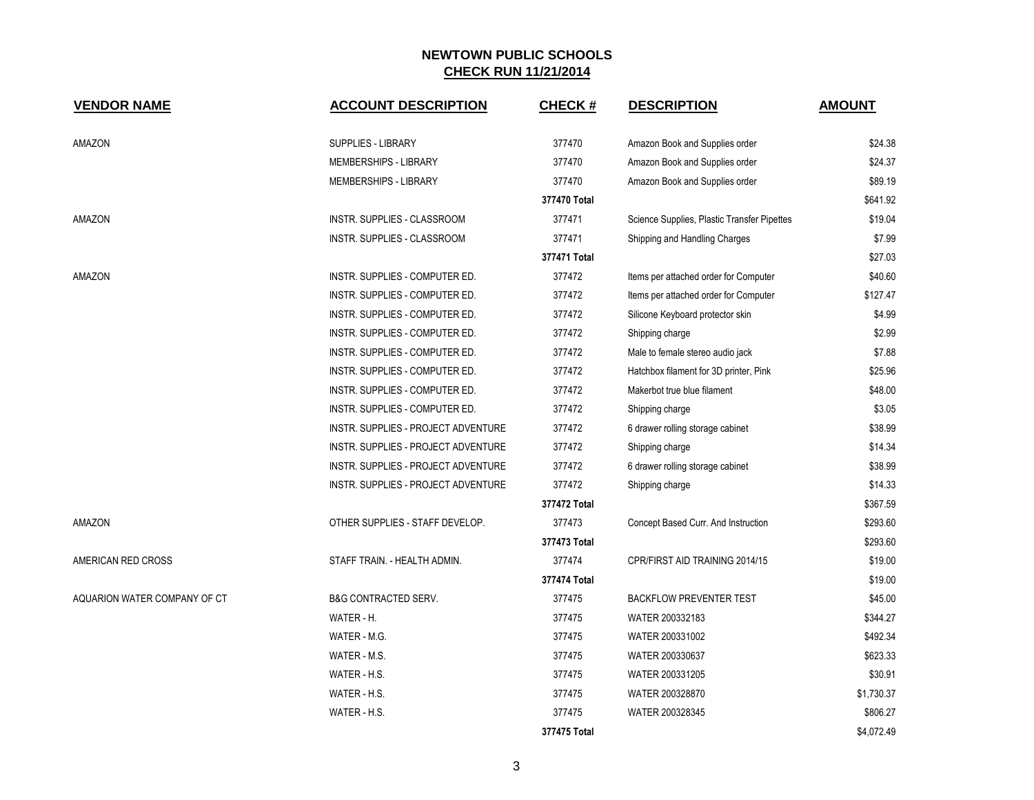| <b>VENDOR NAME</b>           | <b>ACCOUNT DESCRIPTION</b>          | <b>CHECK#</b> | <b>DESCRIPTION</b>                          | <b>AMOUNT</b> |
|------------------------------|-------------------------------------|---------------|---------------------------------------------|---------------|
| AMAZON                       | <b>SUPPLIES - LIBRARY</b>           | 377470        | Amazon Book and Supplies order              | \$24.38       |
|                              | MEMBERSHIPS - LIBRARY               | 377470        | Amazon Book and Supplies order              | \$24.37       |
|                              | MEMBERSHIPS - LIBRARY               | 377470        | Amazon Book and Supplies order              | \$89.19       |
|                              |                                     | 377470 Total  |                                             | \$641.92      |
| AMAZON                       | INSTR. SUPPLIES - CLASSROOM         | 377471        | Science Supplies, Plastic Transfer Pipettes | \$19.04       |
|                              | INSTR. SUPPLIES - CLASSROOM         | 377471        | Shipping and Handling Charges               | \$7.99        |
|                              |                                     | 377471 Total  |                                             | \$27.03       |
| AMAZON                       | INSTR. SUPPLIES - COMPUTER ED.      | 377472        | Items per attached order for Computer       | \$40.60       |
|                              | INSTR. SUPPLIES - COMPUTER ED.      | 377472        | Items per attached order for Computer       | \$127.47      |
|                              | INSTR. SUPPLIES - COMPUTER ED.      | 377472        | Silicone Keyboard protector skin            | \$4.99        |
|                              | INSTR. SUPPLIES - COMPUTER ED.      | 377472        | Shipping charge                             | \$2.99        |
|                              | INSTR. SUPPLIES - COMPUTER ED.      | 377472        | Male to female stereo audio jack            | \$7.88        |
|                              | INSTR. SUPPLIES - COMPUTER ED.      | 377472        | Hatchbox filament for 3D printer, Pink      | \$25.96       |
|                              | INSTR. SUPPLIES - COMPUTER ED.      | 377472        | Makerbot true blue filament                 | \$48.00       |
|                              | INSTR. SUPPLIES - COMPUTER ED.      | 377472        | Shipping charge                             | \$3.05        |
|                              | INSTR. SUPPLIES - PROJECT ADVENTURE | 377472        | 6 drawer rolling storage cabinet            | \$38.99       |
|                              | INSTR. SUPPLIES - PROJECT ADVENTURE | 377472        | Shipping charge                             | \$14.34       |
|                              | INSTR. SUPPLIES - PROJECT ADVENTURE | 377472        | 6 drawer rolling storage cabinet            | \$38.99       |
|                              | INSTR. SUPPLIES - PROJECT ADVENTURE | 377472        | Shipping charge                             | \$14.33       |
|                              |                                     | 377472 Total  |                                             | \$367.59      |
| AMAZON                       | OTHER SUPPLIES - STAFF DEVELOP.     | 377473        | Concept Based Curr. And Instruction         | \$293.60      |
|                              |                                     | 377473 Total  |                                             | \$293.60      |
| AMERICAN RED CROSS           | STAFF TRAIN. - HEALTH ADMIN.        | 377474        | CPR/FIRST AID TRAINING 2014/15              | \$19.00       |
|                              |                                     | 377474 Total  |                                             | \$19.00       |
| AQUARION WATER COMPANY OF CT | <b>B&amp;G CONTRACTED SERV.</b>     | 377475        | <b>BACKFLOW PREVENTER TEST</b>              | \$45.00       |
|                              | WATER - H.                          | 377475        | WATER 200332183                             | \$344.27      |
|                              | WATER - M.G.                        | 377475        | WATER 200331002                             | \$492.34      |
|                              | WATER - M.S.                        | 377475        | WATER 200330637                             | \$623.33      |
|                              | WATER - H.S.                        | 377475        | WATER 200331205                             | \$30.91       |
|                              | WATER - H.S.                        | 377475        | WATER 200328870                             | \$1,730.37    |
|                              | WATER - H.S.                        | 377475        | WATER 200328345                             | \$806.27      |
|                              |                                     | 377475 Total  |                                             | \$4,072.49    |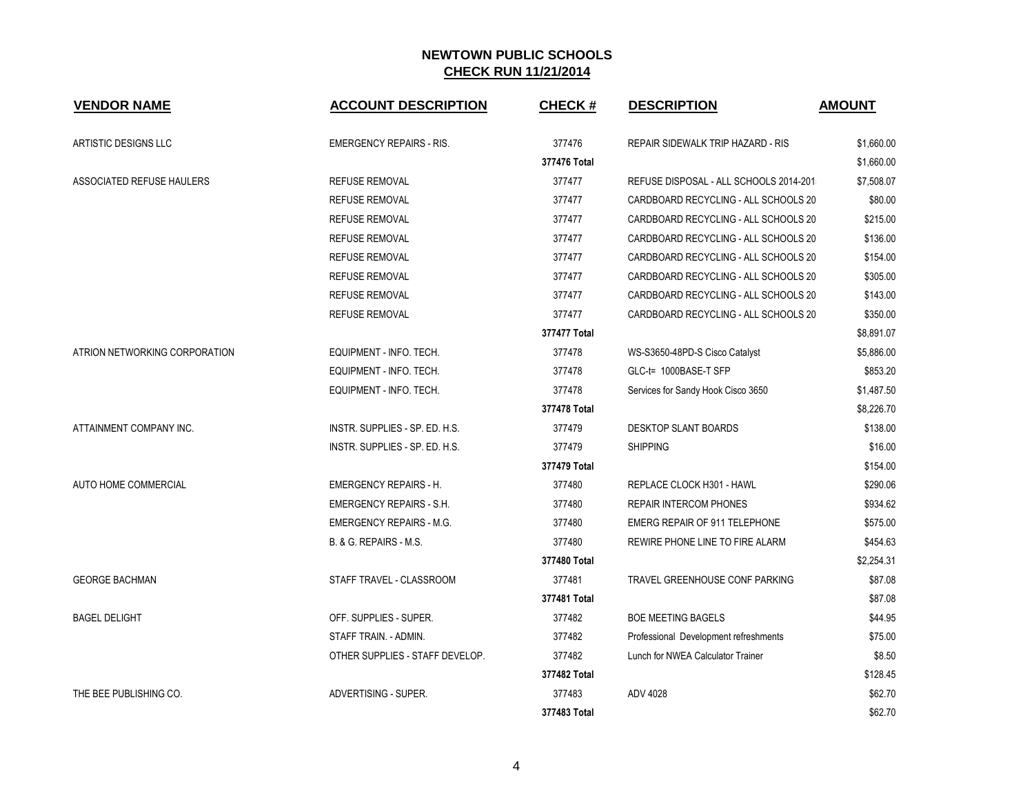| <b>VENDOR NAME</b>               | <b>ACCOUNT DESCRIPTION</b>      | <b>CHECK#</b> | <b>DESCRIPTION</b>                       | <b>AMOUNT</b> |
|----------------------------------|---------------------------------|---------------|------------------------------------------|---------------|
| ARTISTIC DESIGNS LLC             | <b>EMERGENCY REPAIRS - RIS.</b> | 377476        | <b>REPAIR SIDEWALK TRIP HAZARD - RIS</b> | \$1,660.00    |
|                                  |                                 | 377476 Total  |                                          | \$1,660.00    |
| <b>ASSOCIATED REFUSE HAULERS</b> | <b>REFUSE REMOVAL</b>           | 377477        | REFUSE DISPOSAL - ALL SCHOOLS 2014-201   | \$7,508.07    |
|                                  | <b>REFUSE REMOVAL</b>           | 377477        | CARDBOARD RECYCLING - ALL SCHOOLS 20     | \$80.00       |
|                                  | <b>REFUSE REMOVAL</b>           | 377477        | CARDBOARD RECYCLING - ALL SCHOOLS 20     | \$215.00      |
|                                  | <b>REFUSE REMOVAL</b>           | 377477        | CARDBOARD RECYCLING - ALL SCHOOLS 20     | \$136.00      |
|                                  | <b>REFUSE REMOVAL</b>           | 377477        | CARDBOARD RECYCLING - ALL SCHOOLS 20     | \$154.00      |
|                                  | <b>REFUSE REMOVAL</b>           | 377477        | CARDBOARD RECYCLING - ALL SCHOOLS 20     | \$305.00      |
|                                  | <b>REFUSE REMOVAL</b>           | 377477        | CARDBOARD RECYCLING - ALL SCHOOLS 20     | \$143.00      |
|                                  | <b>REFUSE REMOVAL</b>           | 377477        | CARDBOARD RECYCLING - ALL SCHOOLS 20     | \$350.00      |
|                                  |                                 | 377477 Total  |                                          | \$8,891.07    |
| ATRION NETWORKING CORPORATION    | EQUIPMENT - INFO. TECH.         | 377478        | WS-S3650-48PD-S Cisco Catalyst           | \$5,886.00    |
|                                  | EQUIPMENT - INFO. TECH.         | 377478        | GLC-t= 1000BASE-T SFP                    | \$853.20      |
|                                  | EQUIPMENT - INFO. TECH.         | 377478        | Services for Sandy Hook Cisco 3650       | \$1,487.50    |
|                                  |                                 | 377478 Total  |                                          | \$8,226.70    |
| ATTAINMENT COMPANY INC.          | INSTR. SUPPLIES - SP. ED. H.S.  | 377479        | <b>DESKTOP SLANT BOARDS</b>              | \$138.00      |
|                                  | INSTR. SUPPLIES - SP. ED. H.S.  | 377479        | <b>SHIPPING</b>                          | \$16.00       |
|                                  |                                 | 377479 Total  |                                          | \$154.00      |
| AUTO HOME COMMERCIAL             | <b>EMERGENCY REPAIRS - H.</b>   | 377480        | REPLACE CLOCK H301 - HAWL                | \$290.06      |
|                                  | EMERGENCY REPAIRS - S.H.        | 377480        | <b>REPAIR INTERCOM PHONES</b>            | \$934.62      |
|                                  | <b>EMERGENCY REPAIRS - M.G.</b> | 377480        | EMERG REPAIR OF 911 TELEPHONE            | \$575.00      |
|                                  | B. & G. REPAIRS - M.S.          | 377480        | REWIRE PHONE LINE TO FIRE ALARM          | \$454.63      |
|                                  |                                 | 377480 Total  |                                          | \$2,254.31    |
| <b>GEORGE BACHMAN</b>            | STAFF TRAVEL - CLASSROOM        | 377481        | TRAVEL GREENHOUSE CONF PARKING           | \$87.08       |
|                                  |                                 | 377481 Total  |                                          | \$87.08       |
| <b>BAGEL DELIGHT</b>             | OFF. SUPPLIES - SUPER.          | 377482        | <b>BOE MEETING BAGELS</b>                | \$44.95       |
|                                  | STAFF TRAIN. - ADMIN.           | 377482        | Professional Development refreshments    | \$75.00       |
|                                  | OTHER SUPPLIES - STAFF DEVELOP. | 377482        | Lunch for NWEA Calculator Trainer        | \$8.50        |
|                                  |                                 | 377482 Total  |                                          | \$128.45      |
| THE BEE PUBLISHING CO.           | ADVERTISING - SUPER.            | 377483        | ADV 4028                                 | \$62.70       |
|                                  |                                 | 377483 Total  |                                          | \$62.70       |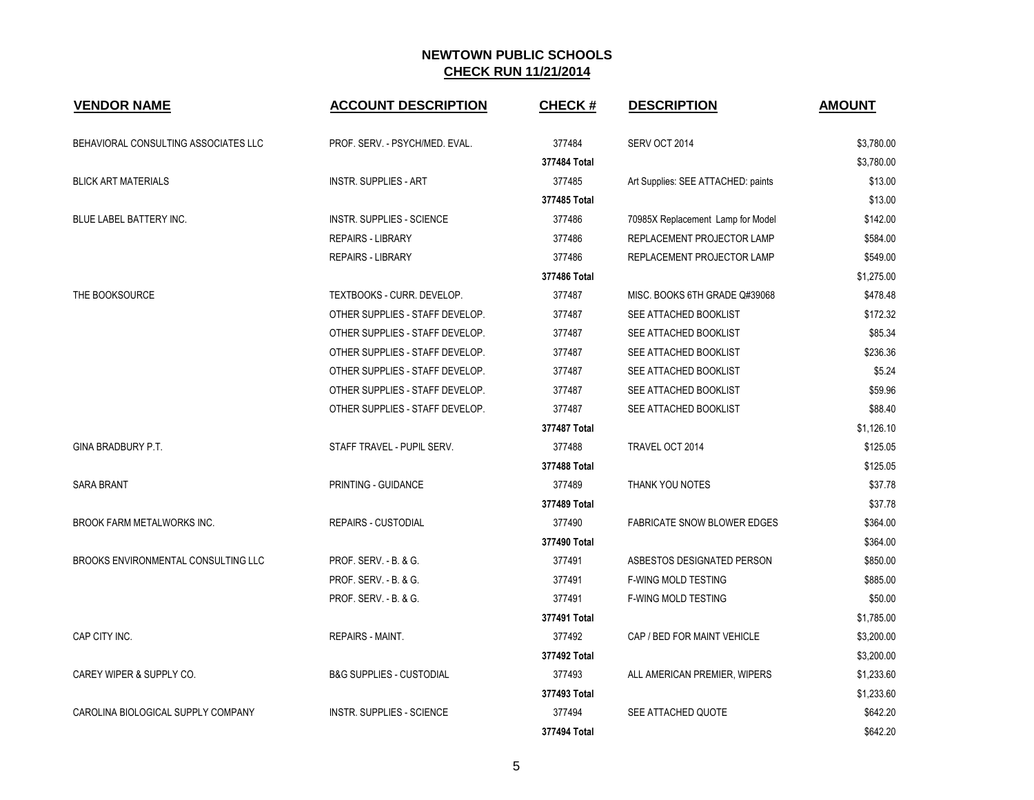| <b>VENDOR NAME</b>                   | <b>ACCOUNT DESCRIPTION</b>          | <b>CHECK#</b> | <b>DESCRIPTION</b>                 | <b>AMOUNT</b> |
|--------------------------------------|-------------------------------------|---------------|------------------------------------|---------------|
| BEHAVIORAL CONSULTING ASSOCIATES LLC | PROF. SERV. - PSYCH/MED. EVAL.      | 377484        | SERV OCT 2014                      | \$3,780.00    |
|                                      |                                     | 377484 Total  |                                    | \$3,780.00    |
| <b>BLICK ART MATERIALS</b>           | <b>INSTR. SUPPLIES - ART</b>        | 377485        | Art Supplies: SEE ATTACHED: paints | \$13.00       |
|                                      |                                     | 377485 Total  |                                    | \$13.00       |
| BLUE LABEL BATTERY INC.              | <b>INSTR. SUPPLIES - SCIENCE</b>    | 377486        | 70985X Replacement Lamp for Model  | \$142.00      |
|                                      | <b>REPAIRS - LIBRARY</b>            | 377486        | REPLACEMENT PROJECTOR LAMP         | \$584.00      |
|                                      | <b>REPAIRS - LIBRARY</b>            | 377486        | REPLACEMENT PROJECTOR LAMP         | \$549.00      |
|                                      |                                     | 377486 Total  |                                    | \$1,275.00    |
| THE BOOKSOURCE                       | TEXTBOOKS - CURR. DEVELOP.          | 377487        | MISC. BOOKS 6TH GRADE Q#39068      | \$478.48      |
|                                      | OTHER SUPPLIES - STAFF DEVELOP.     | 377487        | SEE ATTACHED BOOKLIST              | \$172.32      |
|                                      | OTHER SUPPLIES - STAFF DEVELOP.     | 377487        | SEE ATTACHED BOOKLIST              | \$85.34       |
|                                      | OTHER SUPPLIES - STAFF DEVELOP.     | 377487        | SEE ATTACHED BOOKLIST              | \$236.36      |
|                                      | OTHER SUPPLIES - STAFF DEVELOP.     | 377487        | SEE ATTACHED BOOKLIST              | \$5.24        |
|                                      | OTHER SUPPLIES - STAFF DEVELOP.     | 377487        | SEE ATTACHED BOOKLIST              | \$59.96       |
|                                      | OTHER SUPPLIES - STAFF DEVELOP.     | 377487        | SEE ATTACHED BOOKLIST              | \$88.40       |
|                                      |                                     | 377487 Total  |                                    | \$1,126.10    |
| <b>GINA BRADBURY P.T.</b>            | STAFF TRAVEL - PUPIL SERV.          | 377488        | TRAVEL OCT 2014                    | \$125.05      |
|                                      |                                     | 377488 Total  |                                    | \$125.05      |
| <b>SARA BRANT</b>                    | PRINTING - GUIDANCE                 | 377489        | THANK YOU NOTES                    | \$37.78       |
|                                      |                                     | 377489 Total  |                                    | \$37.78       |
| <b>BROOK FARM METALWORKS INC.</b>    | <b>REPAIRS - CUSTODIAL</b>          | 377490        | <b>FABRICATE SNOW BLOWER EDGES</b> | \$364.00      |
|                                      |                                     | 377490 Total  |                                    | \$364.00      |
| BROOKS ENVIRONMENTAL CONSULTING LLC  | PROF. SERV. - B. & G.               | 377491        | ASBESTOS DESIGNATED PERSON         | \$850.00      |
|                                      | PROF. SERV. - B. & G.               | 377491        | <b>F-WING MOLD TESTING</b>         | \$885.00      |
|                                      | PROF. SERV. - B. & G.               | 377491        | <b>F-WING MOLD TESTING</b>         | \$50.00       |
|                                      |                                     | 377491 Total  |                                    | \$1,785.00    |
| CAP CITY INC.                        | REPAIRS - MAINT.                    | 377492        | CAP / BED FOR MAINT VEHICLE        | \$3,200.00    |
|                                      |                                     | 377492 Total  |                                    | \$3,200.00    |
| CAREY WIPER & SUPPLY CO.             | <b>B&amp;G SUPPLIES - CUSTODIAL</b> | 377493        | ALL AMERICAN PREMIER, WIPERS       | \$1,233.60    |
|                                      |                                     | 377493 Total  |                                    | \$1,233.60    |
| CAROLINA BIOLOGICAL SUPPLY COMPANY   | <b>INSTR. SUPPLIES - SCIENCE</b>    | 377494        | SEE ATTACHED QUOTE                 | \$642.20      |
|                                      |                                     | 377494 Total  |                                    | \$642.20      |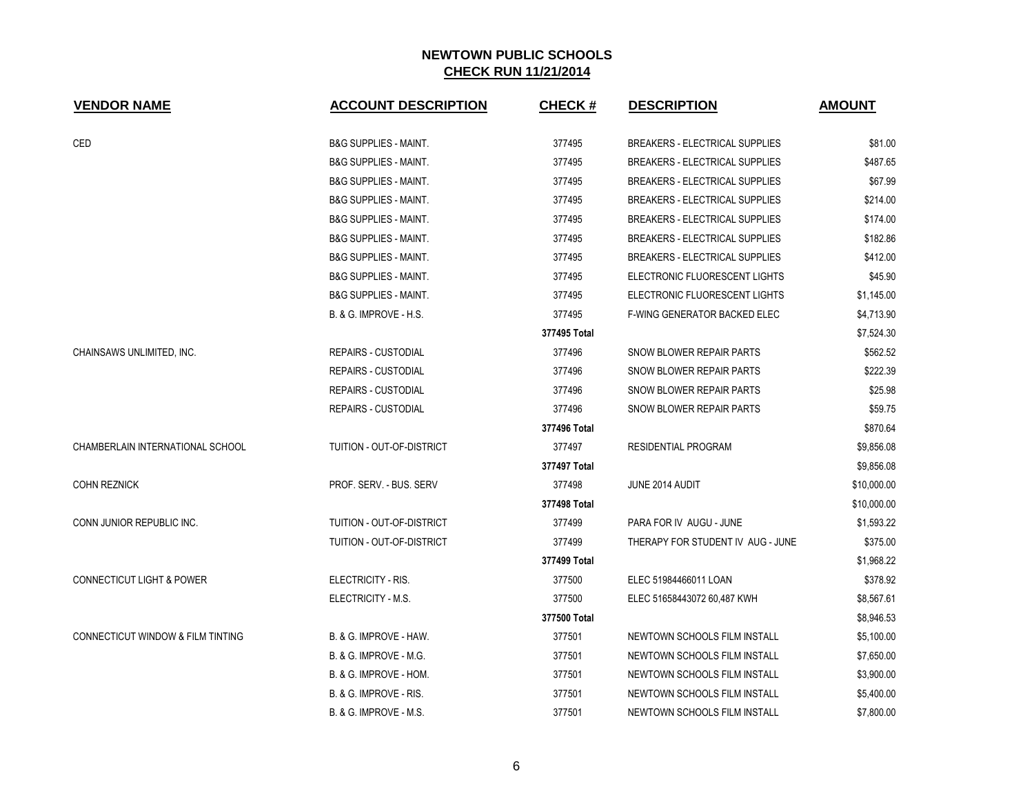| <b>VENDOR NAME</b>                           | <b>ACCOUNT DESCRIPTION</b>        | <b>CHECK#</b> | <b>DESCRIPTION</b>                    | <b>AMOUNT</b> |
|----------------------------------------------|-----------------------------------|---------------|---------------------------------------|---------------|
| CED                                          | <b>B&amp;G SUPPLIES - MAINT.</b>  | 377495        | <b>BREAKERS - ELECTRICAL SUPPLIES</b> | \$81.00       |
|                                              | <b>B&amp;G SUPPLIES - MAINT.</b>  | 377495        | <b>BREAKERS - ELECTRICAL SUPPLIES</b> | \$487.65      |
|                                              | <b>B&amp;G SUPPLIES - MAINT.</b>  | 377495        | <b>BREAKERS - ELECTRICAL SUPPLIES</b> | \$67.99       |
|                                              | <b>B&amp;G SUPPLIES - MAINT.</b>  | 377495        | <b>BREAKERS - ELECTRICAL SUPPLIES</b> | \$214.00      |
|                                              | <b>B&amp;G SUPPLIES - MAINT.</b>  | 377495        | <b>BREAKERS - ELECTRICAL SUPPLIES</b> | \$174.00      |
|                                              | <b>B&amp;G SUPPLIES - MAINT.</b>  | 377495        | <b>BREAKERS - ELECTRICAL SUPPLIES</b> | \$182.86      |
|                                              | <b>B&amp;G SUPPLIES - MAINT.</b>  | 377495        | <b>BREAKERS - ELECTRICAL SUPPLIES</b> | \$412.00      |
|                                              | <b>B&amp;G SUPPLIES - MAINT.</b>  | 377495        | ELECTRONIC FLUORESCENT LIGHTS         | \$45.90       |
|                                              | <b>B&amp;G SUPPLIES - MAINT.</b>  | 377495        | ELECTRONIC FLUORESCENT LIGHTS         | \$1,145.00    |
|                                              | B. & G. IMPROVE - H.S.            | 377495        | F-WING GENERATOR BACKED ELEC          | \$4,713.90    |
|                                              |                                   | 377495 Total  |                                       | \$7,524.30    |
| CHAINSAWS UNLIMITED, INC.                    | <b>REPAIRS - CUSTODIAL</b>        | 377496        | SNOW BLOWER REPAIR PARTS              | \$562.52      |
|                                              | <b>REPAIRS - CUSTODIAL</b>        | 377496        | SNOW BLOWER REPAIR PARTS              | \$222.39      |
|                                              | <b>REPAIRS - CUSTODIAL</b>        | 377496        | SNOW BLOWER REPAIR PARTS              | \$25.98       |
|                                              | <b>REPAIRS - CUSTODIAL</b>        | 377496        | SNOW BLOWER REPAIR PARTS              | \$59.75       |
|                                              |                                   | 377496 Total  |                                       | \$870.64      |
| CHAMBERLAIN INTERNATIONAL SCHOOL             | TUITION - OUT-OF-DISTRICT         | 377497        | <b>RESIDENTIAL PROGRAM</b>            | \$9,856.08    |
|                                              |                                   | 377497 Total  |                                       | \$9,856.08    |
| <b>COHN REZNICK</b>                          | PROF. SERV. - BUS. SERV           | 377498        | JUNE 2014 AUDIT                       | \$10,000.00   |
|                                              |                                   | 377498 Total  |                                       | \$10,000.00   |
| CONN JUNIOR REPUBLIC INC.                    | TUITION - OUT-OF-DISTRICT         | 377499        | PARA FOR IV AUGU - JUNE               | \$1,593.22    |
|                                              | TUITION - OUT-OF-DISTRICT         | 377499        | THERAPY FOR STUDENT IV AUG - JUNE     | \$375.00      |
|                                              |                                   | 377499 Total  |                                       | \$1,968.22    |
| <b>CONNECTICUT LIGHT &amp; POWER</b>         | ELECTRICITY - RIS.                | 377500        | ELEC 51984466011 LOAN                 | \$378.92      |
|                                              | ELECTRICITY - M.S.                | 377500        | ELEC 51658443072 60,487 KWH           | \$8,567.61    |
|                                              |                                   | 377500 Total  |                                       | \$8,946.53    |
| <b>CONNECTICUT WINDOW &amp; FILM TINTING</b> | B. & G. IMPROVE - HAW.            | 377501        | NEWTOWN SCHOOLS FILM INSTALL          | \$5,100.00    |
|                                              | <b>B. &amp; G. IMPROVE - M.G.</b> | 377501        | NEWTOWN SCHOOLS FILM INSTALL          | \$7,650.00    |
|                                              | B. & G. IMPROVE - HOM.            | 377501        | NEWTOWN SCHOOLS FILM INSTALL          | \$3,900.00    |
|                                              | B. & G. IMPROVE - RIS.            | 377501        | NEWTOWN SCHOOLS FILM INSTALL          | \$5,400.00    |
|                                              | B. & G. IMPROVE - M.S.            | 377501        | NEWTOWN SCHOOLS FILM INSTALL          | \$7,800.00    |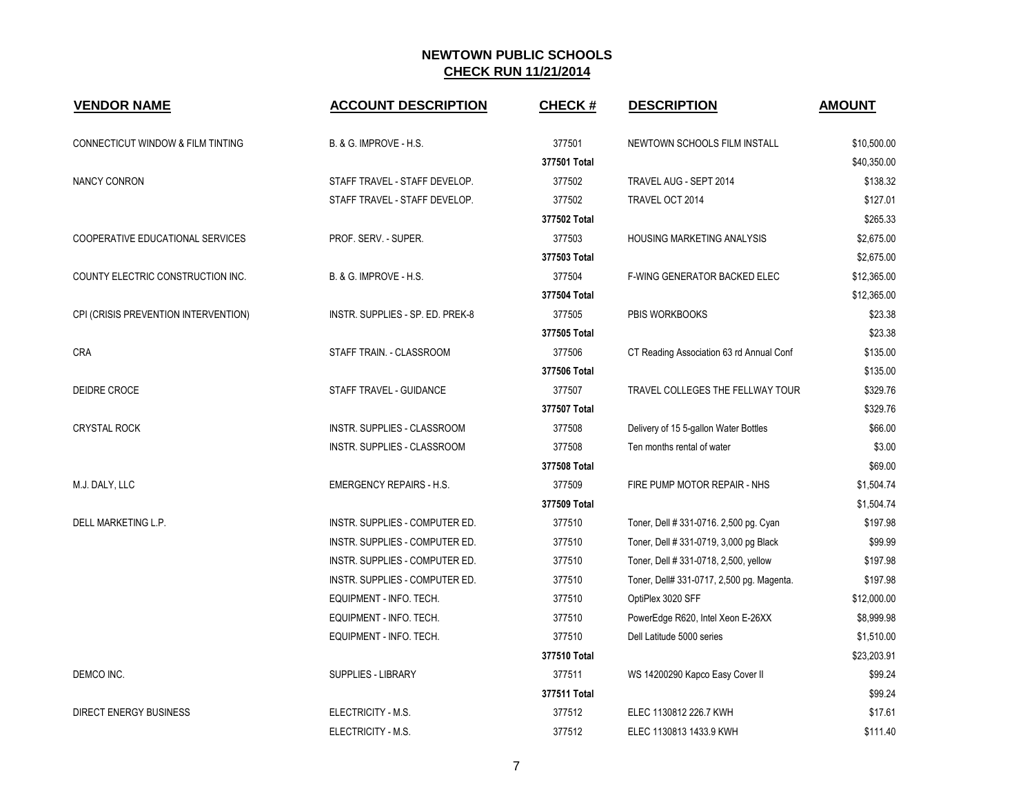| <b>VENDOR NAME</b>                           | <b>ACCOUNT DESCRIPTION</b>        | <b>CHECK#</b> | <b>DESCRIPTION</b>                        | <b>AMOUNT</b> |
|----------------------------------------------|-----------------------------------|---------------|-------------------------------------------|---------------|
| <b>CONNECTICUT WINDOW &amp; FILM TINTING</b> | <b>B. &amp; G. IMPROVE - H.S.</b> | 377501        | NEWTOWN SCHOOLS FILM INSTALL              | \$10,500.00   |
|                                              |                                   | 377501 Total  |                                           | \$40,350.00   |
| <b>NANCY CONRON</b>                          | STAFF TRAVEL - STAFF DEVELOP.     | 377502        | TRAVEL AUG - SEPT 2014                    | \$138.32      |
|                                              | STAFF TRAVEL - STAFF DEVELOP.     | 377502        | TRAVEL OCT 2014                           | \$127.01      |
|                                              |                                   | 377502 Total  |                                           | \$265.33      |
| COOPERATIVE EDUCATIONAL SERVICES             | PROF. SERV. - SUPER.              | 377503        | HOUSING MARKETING ANALYSIS                | \$2,675.00    |
|                                              |                                   | 377503 Total  |                                           | \$2,675.00    |
| COUNTY ELECTRIC CONSTRUCTION INC.            | B. & G. IMPROVE - H.S.            | 377504        | <b>F-WING GENERATOR BACKED ELEC</b>       | \$12,365.00   |
|                                              |                                   | 377504 Total  |                                           | \$12,365.00   |
| CPI (CRISIS PREVENTION INTERVENTION)         | INSTR. SUPPLIES - SP. ED. PREK-8  | 377505        | PBIS WORKBOOKS                            | \$23.38       |
|                                              |                                   | 377505 Total  |                                           | \$23.38       |
| <b>CRA</b>                                   | STAFF TRAIN. - CLASSROOM          | 377506        | CT Reading Association 63 rd Annual Conf  | \$135.00      |
|                                              |                                   | 377506 Total  |                                           | \$135.00      |
| DEIDRE CROCE                                 | STAFF TRAVEL - GUIDANCE           | 377507        | TRAVEL COLLEGES THE FELLWAY TOUR          | \$329.76      |
|                                              |                                   | 377507 Total  |                                           | \$329.76      |
| <b>CRYSTAL ROCK</b>                          | INSTR. SUPPLIES - CLASSROOM       | 377508        | Delivery of 15 5-gallon Water Bottles     | \$66.00       |
|                                              | INSTR. SUPPLIES - CLASSROOM       | 377508        | Ten months rental of water                | \$3.00        |
|                                              |                                   | 377508 Total  |                                           | \$69.00       |
| M.J. DALY, LLC                               | <b>EMERGENCY REPAIRS - H.S.</b>   | 377509        | FIRE PUMP MOTOR REPAIR - NHS              | \$1,504.74    |
|                                              |                                   | 377509 Total  |                                           | \$1,504.74    |
| DELL MARKETING L.P.                          | INSTR. SUPPLIES - COMPUTER ED.    | 377510        | Toner, Dell # 331-0716, 2,500 pg. Cyan    | \$197.98      |
|                                              | INSTR. SUPPLIES - COMPUTER ED.    | 377510        | Toner, Dell # 331-0719, 3,000 pg Black    | \$99.99       |
|                                              | INSTR. SUPPLIES - COMPUTER ED.    | 377510        | Toner, Dell # 331-0718, 2,500, yellow     | \$197.98      |
|                                              | INSTR. SUPPLIES - COMPUTER ED.    | 377510        | Toner, Dell# 331-0717, 2,500 pg. Magenta. | \$197.98      |
|                                              | EQUIPMENT - INFO. TECH.           | 377510        | OptiPlex 3020 SFF                         | \$12,000.00   |
|                                              | EQUIPMENT - INFO. TECH.           | 377510        | PowerEdge R620, Intel Xeon E-26XX         | \$8,999.98    |
|                                              | EQUIPMENT - INFO. TECH.           | 377510        | Dell Latitude 5000 series                 | \$1,510.00    |
|                                              |                                   | 377510 Total  |                                           | \$23,203.91   |
| DEMCO INC.                                   | <b>SUPPLIES - LIBRARY</b>         | 377511        | WS 14200290 Kapco Easy Cover II           | \$99.24       |
|                                              |                                   | 377511 Total  |                                           | \$99.24       |
| <b>DIRECT ENERGY BUSINESS</b>                | ELECTRICITY - M.S.                | 377512        | ELEC 1130812 226.7 KWH                    | \$17.61       |
|                                              | ELECTRICITY - M.S.                | 377512        | ELEC 1130813 1433.9 KWH                   | \$111.40      |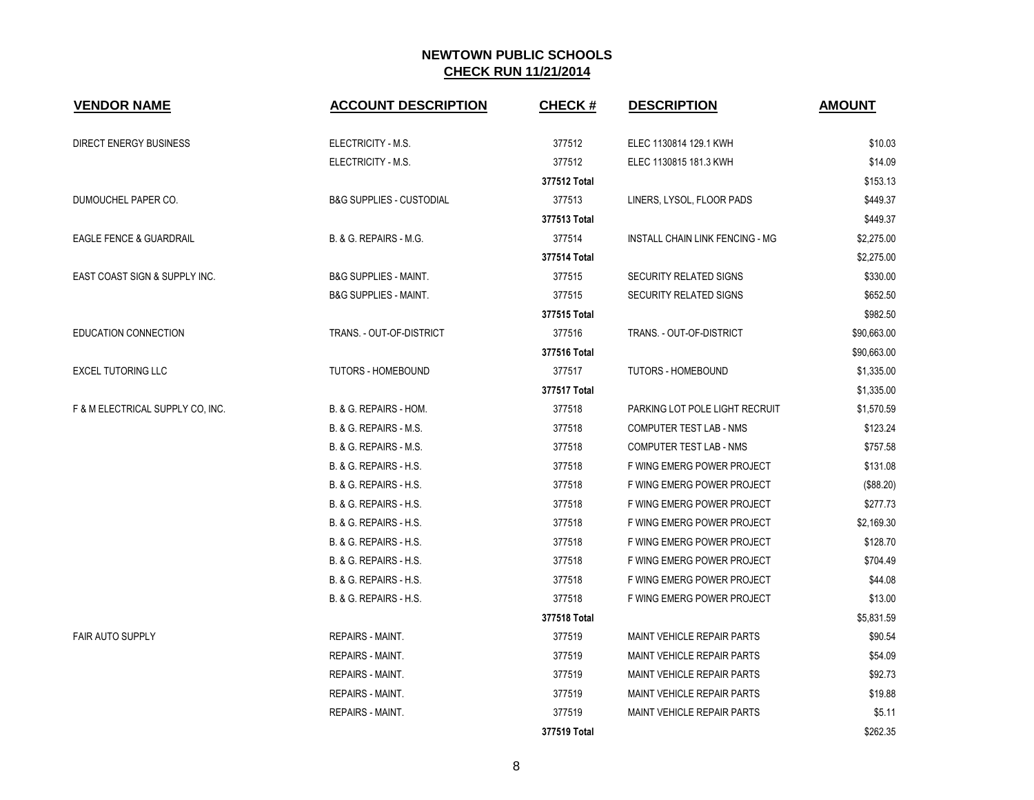| <b>VENDOR NAME</b>                 | <b>ACCOUNT DESCRIPTION</b>          | <b>CHECK#</b> | <b>DESCRIPTION</b>                     | <b>AMOUNT</b> |
|------------------------------------|-------------------------------------|---------------|----------------------------------------|---------------|
| <b>DIRECT ENERGY BUSINESS</b>      | ELECTRICITY - M.S.                  | 377512        | ELEC 1130814 129.1 KWH                 | \$10.03       |
|                                    | ELECTRICITY - M.S.                  | 377512        | ELEC 1130815 181.3 KWH                 | \$14.09       |
|                                    |                                     | 377512 Total  |                                        | \$153.13      |
| DUMOUCHEL PAPER CO.                | <b>B&amp;G SUPPLIES - CUSTODIAL</b> | 377513        | LINERS, LYSOL, FLOOR PADS              | \$449.37      |
|                                    |                                     | 377513 Total  |                                        | \$449.37      |
| <b>EAGLE FENCE &amp; GUARDRAIL</b> | B. & G. REPAIRS - M.G.              | 377514        | <b>INSTALL CHAIN LINK FENCING - MG</b> | \$2,275.00    |
|                                    |                                     | 377514 Total  |                                        | \$2,275.00    |
| EAST COAST SIGN & SUPPLY INC.      | <b>B&amp;G SUPPLIES - MAINT.</b>    | 377515        | SECURITY RELATED SIGNS                 | \$330.00      |
|                                    | <b>B&amp;G SUPPLIES - MAINT.</b>    | 377515        | <b>SECURITY RELATED SIGNS</b>          | \$652.50      |
|                                    |                                     | 377515 Total  |                                        | \$982.50      |
| EDUCATION CONNECTION               | TRANS. - OUT-OF-DISTRICT            | 377516        | TRANS. - OUT-OF-DISTRICT               | \$90,663.00   |
|                                    |                                     | 377516 Total  |                                        | \$90,663.00   |
| <b>EXCEL TUTORING LLC</b>          | <b>TUTORS - HOMEBOUND</b>           | 377517        | <b>TUTORS - HOMEBOUND</b>              | \$1,335.00    |
|                                    |                                     | 377517 Total  |                                        | \$1,335.00    |
| F & M ELECTRICAL SUPPLY CO, INC.   | B. & G. REPAIRS - HOM.              | 377518        | PARKING LOT POLE LIGHT RECRUIT         | \$1,570.59    |
|                                    | B. & G. REPAIRS - M.S.              | 377518        | <b>COMPUTER TEST LAB - NMS</b>         | \$123.24      |
|                                    | B. & G. REPAIRS - M.S.              | 377518        | COMPUTER TEST LAB - NMS                | \$757.58      |
|                                    | B. & G. REPAIRS - H.S.              | 377518        | F WING EMERG POWER PROJECT             | \$131.08      |
|                                    | B. & G. REPAIRS - H.S.              | 377518        | F WING EMERG POWER PROJECT             | (\$88.20)     |
|                                    | B. & G. REPAIRS - H.S.              | 377518        | F WING EMERG POWER PROJECT             | \$277.73      |
|                                    | B. & G. REPAIRS - H.S.              | 377518        | F WING EMERG POWER PROJECT             | \$2,169.30    |
|                                    | B. & G. REPAIRS - H.S.              | 377518        | F WING EMERG POWER PROJECT             | \$128.70      |
|                                    | B. & G. REPAIRS - H.S.              | 377518        | F WING EMERG POWER PROJECT             | \$704.49      |
|                                    | B. & G. REPAIRS - H.S.              | 377518        | F WING EMERG POWER PROJECT             | \$44.08       |
|                                    | B. & G. REPAIRS - H.S.              | 377518        | F WING EMERG POWER PROJECT             | \$13.00       |
|                                    |                                     | 377518 Total  |                                        | \$5,831.59    |
| <b>FAIR AUTO SUPPLY</b>            | <b>REPAIRS - MAINT.</b>             | 377519        | <b>MAINT VEHICLE REPAIR PARTS</b>      | \$90.54       |
|                                    | <b>REPAIRS - MAINT.</b>             | 377519        | <b>MAINT VEHICLE REPAIR PARTS</b>      | \$54.09       |
|                                    | <b>REPAIRS - MAINT.</b>             | 377519        | <b>MAINT VEHICLE REPAIR PARTS</b>      | \$92.73       |
|                                    | <b>REPAIRS - MAINT.</b>             | 377519        | <b>MAINT VEHICLE REPAIR PARTS</b>      | \$19.88       |
|                                    | REPAIRS - MAINT.                    | 377519        | <b>MAINT VEHICLE REPAIR PARTS</b>      | \$5.11        |
|                                    |                                     | 377519 Total  |                                        | \$262.35      |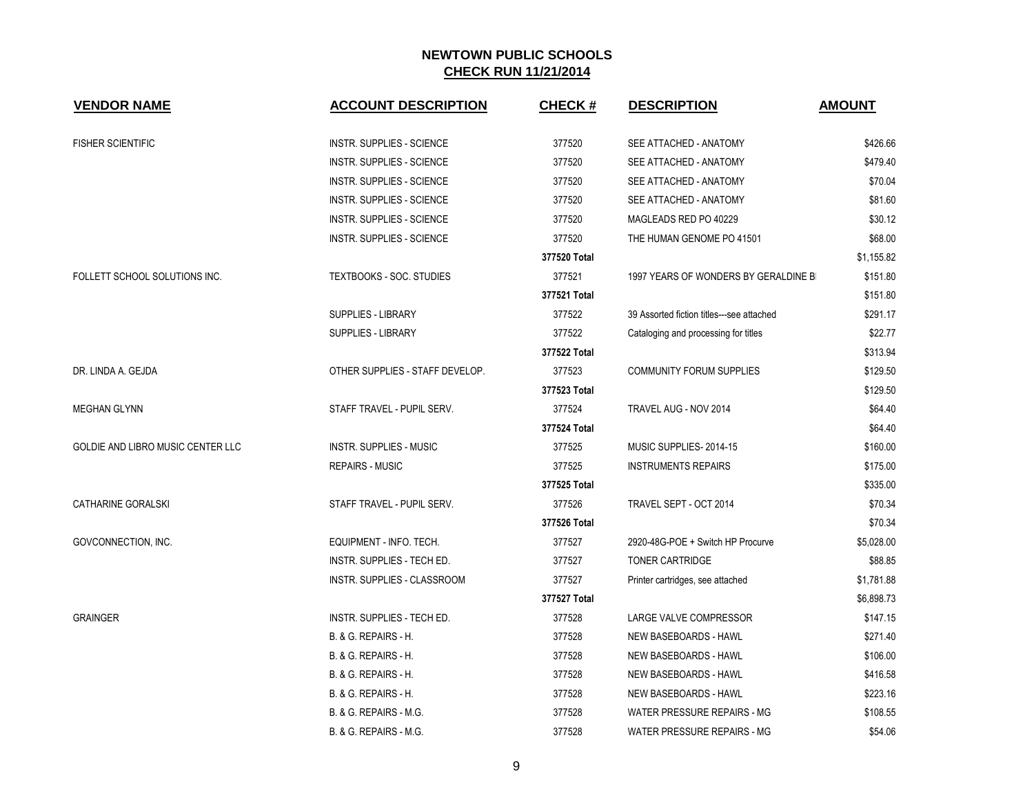| <b>VENDOR NAME</b>                | <b>ACCOUNT DESCRIPTION</b>       | <b>CHECK#</b> | <b>DESCRIPTION</b>                        | <b>AMOUNT</b> |
|-----------------------------------|----------------------------------|---------------|-------------------------------------------|---------------|
| <b>FISHER SCIENTIFIC</b>          | INSTR. SUPPLIES - SCIENCE        | 377520        | SEE ATTACHED - ANATOMY                    | \$426.66      |
|                                   | <b>INSTR. SUPPLIES - SCIENCE</b> | 377520        | SEE ATTACHED - ANATOMY                    | \$479.40      |
|                                   | INSTR. SUPPLIES - SCIENCE        | 377520        | SEE ATTACHED - ANATOMY                    | \$70.04       |
|                                   | INSTR. SUPPLIES - SCIENCE        | 377520        | SEE ATTACHED - ANATOMY                    | \$81.60       |
|                                   | INSTR. SUPPLIES - SCIENCE        | 377520        | MAGLEADS RED PO 40229                     | \$30.12       |
|                                   | INSTR. SUPPLIES - SCIENCE        | 377520        | THE HUMAN GENOME PO 41501                 | \$68.00       |
|                                   |                                  | 377520 Total  |                                           | \$1,155.82    |
| FOLLETT SCHOOL SOLUTIONS INC.     | <b>TEXTBOOKS - SOC. STUDIES</b>  | 377521        | 1997 YEARS OF WONDERS BY GERALDINE BI     | \$151.80      |
|                                   |                                  | 377521 Total  |                                           | \$151.80      |
|                                   | <b>SUPPLIES - LIBRARY</b>        | 377522        | 39 Assorted fiction titles---see attached | \$291.17      |
|                                   | <b>SUPPLIES - LIBRARY</b>        | 377522        | Cataloging and processing for titles      | \$22.77       |
|                                   |                                  | 377522 Total  |                                           | \$313.94      |
| DR. LINDA A. GEJDA                | OTHER SUPPLIES - STAFF DEVELOP.  | 377523        | <b>COMMUNITY FORUM SUPPLIES</b>           | \$129.50      |
|                                   |                                  | 377523 Total  |                                           | \$129.50      |
| <b>MEGHAN GLYNN</b>               | STAFF TRAVEL - PUPIL SERV.       | 377524        | TRAVEL AUG - NOV 2014                     | \$64.40       |
|                                   |                                  | 377524 Total  |                                           | \$64.40       |
| GOLDIE AND LIBRO MUSIC CENTER LLC | INSTR. SUPPLIES - MUSIC          | 377525        | MUSIC SUPPLIES-2014-15                    | \$160.00      |
|                                   | <b>REPAIRS - MUSIC</b>           | 377525        | <b>INSTRUMENTS REPAIRS</b>                | \$175.00      |
|                                   |                                  | 377525 Total  |                                           | \$335.00      |
| <b>CATHARINE GORALSKI</b>         | STAFF TRAVEL - PUPIL SERV.       | 377526        | TRAVEL SEPT - OCT 2014                    | \$70.34       |
|                                   |                                  | 377526 Total  |                                           | \$70.34       |
| GOVCONNECTION, INC.               | EQUIPMENT - INFO. TECH.          | 377527        | 2920-48G-POE + Switch HP Procurve         | \$5,028.00    |
|                                   | INSTR. SUPPLIES - TECH ED.       | 377527        | TONER CARTRIDGE                           | \$88.85       |
|                                   | INSTR. SUPPLIES - CLASSROOM      | 377527        | Printer cartridges, see attached          | \$1,781.88    |
|                                   |                                  | 377527 Total  |                                           | \$6,898.73    |
| <b>GRAINGER</b>                   | INSTR. SUPPLIES - TECH ED.       | 377528        | LARGE VALVE COMPRESSOR                    | \$147.15      |
|                                   | B. & G. REPAIRS - H.             | 377528        | NEW BASEBOARDS - HAWL                     | \$271.40      |
|                                   | <b>B. &amp; G. REPAIRS - H.</b>  | 377528        | NEW BASEBOARDS - HAWL                     | \$106.00      |
|                                   | B. & G. REPAIRS - H.             | 377528        | NEW BASEBOARDS - HAWL                     | \$416.58      |
|                                   | B. & G. REPAIRS - H.             | 377528        | NEW BASEBOARDS - HAWL                     | \$223.16      |
|                                   | B. & G. REPAIRS - M.G.           | 377528        | WATER PRESSURE REPAIRS - MG               | \$108.55      |
|                                   | B. & G. REPAIRS - M.G.           | 377528        | WATER PRESSURE REPAIRS - MG               | \$54.06       |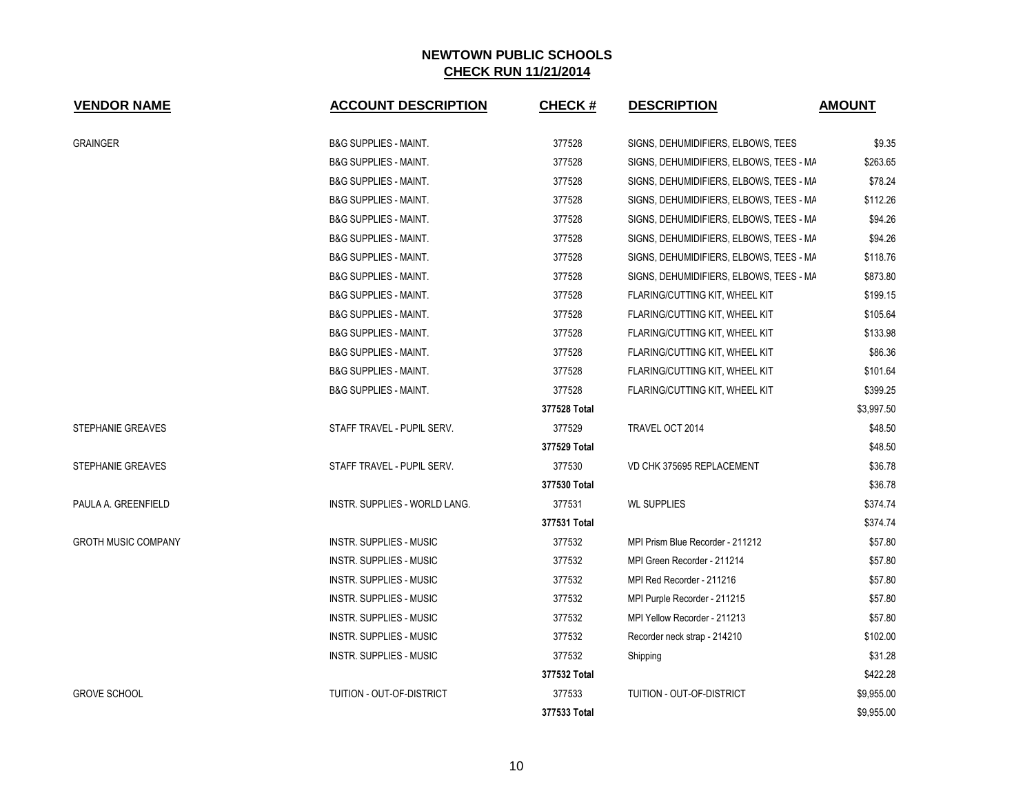| <b>VENDOR NAME</b>         | <b>ACCOUNT DESCRIPTION</b>           | <b>CHECK#</b> | <b>DESCRIPTION</b>                      | <b>AMOUNT</b> |
|----------------------------|--------------------------------------|---------------|-----------------------------------------|---------------|
| <b>GRAINGER</b>            | <b>B&amp;G SUPPLIES - MAINT.</b>     | 377528        | SIGNS, DEHUMIDIFIERS, ELBOWS, TEES      | \$9.35        |
|                            | <b>B&amp;G SUPPLIES - MAINT.</b>     | 377528        | SIGNS, DEHUMIDIFIERS, ELBOWS, TEES - MA | \$263.65      |
|                            | <b>B&amp;G SUPPLIES - MAINT.</b>     | 377528        | SIGNS, DEHUMIDIFIERS, ELBOWS, TEES - MA | \$78.24       |
|                            | <b>B&amp;G SUPPLIES - MAINT.</b>     | 377528        | SIGNS, DEHUMIDIFIERS, ELBOWS, TEES - MA | \$112.26      |
|                            | <b>B&amp;G SUPPLIES - MAINT.</b>     | 377528        | SIGNS, DEHUMIDIFIERS, ELBOWS, TEES - MA | \$94.26       |
|                            | <b>B&amp;G SUPPLIES - MAINT.</b>     | 377528        | SIGNS, DEHUMIDIFIERS, ELBOWS, TEES - MA | \$94.26       |
|                            | <b>B&amp;G SUPPLIES - MAINT.</b>     | 377528        | SIGNS, DEHUMIDIFIERS, ELBOWS, TEES - MA | \$118.76      |
|                            | <b>B&amp;G SUPPLIES - MAINT.</b>     | 377528        | SIGNS, DEHUMIDIFIERS, ELBOWS, TEES - MA | \$873.80      |
|                            | <b>B&amp;G SUPPLIES - MAINT.</b>     | 377528        | FLARING/CUTTING KIT, WHEEL KIT          | \$199.15      |
|                            | <b>B&amp;G SUPPLIES - MAINT.</b>     | 377528        | FLARING/CUTTING KIT, WHEEL KIT          | \$105.64      |
|                            | <b>B&amp;G SUPPLIES - MAINT.</b>     | 377528        | FLARING/CUTTING KIT, WHEEL KIT          | \$133.98      |
|                            | <b>B&amp;G SUPPLIES - MAINT.</b>     | 377528        | FLARING/CUTTING KIT, WHEEL KIT          | \$86.36       |
|                            | <b>B&amp;G SUPPLIES - MAINT.</b>     | 377528        | FLARING/CUTTING KIT, WHEEL KIT          | \$101.64      |
|                            | <b>B&amp;G SUPPLIES - MAINT.</b>     | 377528        | FLARING/CUTTING KIT, WHEEL KIT          | \$399.25      |
|                            |                                      | 377528 Total  |                                         | \$3,997.50    |
| <b>STEPHANIE GREAVES</b>   | STAFF TRAVEL - PUPIL SERV.           | 377529        | TRAVEL OCT 2014                         | \$48.50       |
|                            |                                      | 377529 Total  |                                         | \$48.50       |
| STEPHANIE GREAVES          | STAFF TRAVEL - PUPIL SERV.           | 377530        | VD CHK 375695 REPLACEMENT               | \$36.78       |
|                            |                                      | 377530 Total  |                                         | \$36.78       |
| PAULA A. GREENFIELD        | <b>INSTR. SUPPLIES - WORLD LANG.</b> | 377531        | <b>WL SUPPLIES</b>                      | \$374.74      |
|                            |                                      | 377531 Total  |                                         | \$374.74      |
| <b>GROTH MUSIC COMPANY</b> | <b>INSTR. SUPPLIES - MUSIC</b>       | 377532        | MPI Prism Blue Recorder - 211212        | \$57.80       |
|                            | INSTR. SUPPLIES - MUSIC              | 377532        | MPI Green Recorder - 211214             | \$57.80       |
|                            | <b>INSTR. SUPPLIES - MUSIC</b>       | 377532        | MPI Red Recorder - 211216               | \$57.80       |
|                            | <b>INSTR. SUPPLIES - MUSIC</b>       | 377532        | MPI Purple Recorder - 211215            | \$57.80       |
|                            | <b>INSTR. SUPPLIES - MUSIC</b>       | 377532        | MPI Yellow Recorder - 211213            | \$57.80       |
|                            | <b>INSTR. SUPPLIES - MUSIC</b>       | 377532        | Recorder neck strap - 214210            | \$102.00      |
|                            | <b>INSTR. SUPPLIES - MUSIC</b>       | 377532        | Shipping                                | \$31.28       |
|                            |                                      | 377532 Total  |                                         | \$422.28      |
| <b>GROVE SCHOOL</b>        | TUITION - OUT-OF-DISTRICT            | 377533        | <b>TUITION - OUT-OF-DISTRICT</b>        | \$9,955.00    |
|                            |                                      | 377533 Total  |                                         | \$9,955.00    |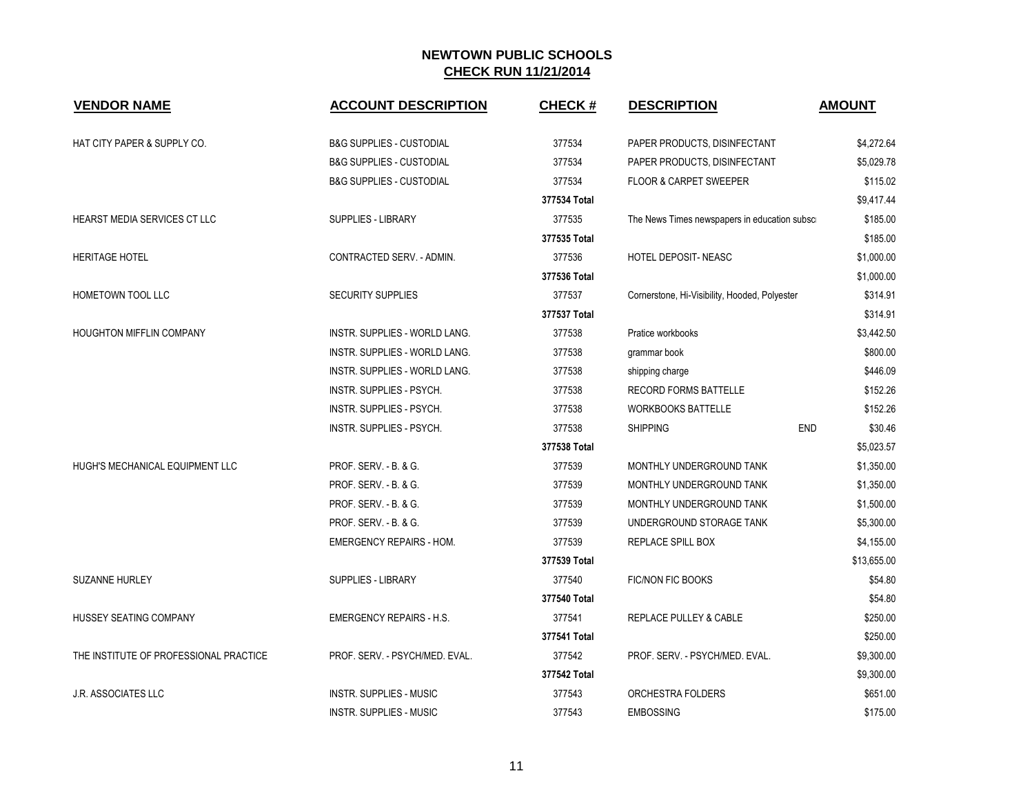| <b>VENDOR NAME</b>                     | <b>ACCOUNT DESCRIPTION</b>          | <b>CHECK#</b> | <b>DESCRIPTION</b>                            | <b>AMOUNT</b> |
|----------------------------------------|-------------------------------------|---------------|-----------------------------------------------|---------------|
| HAT CITY PAPER & SUPPLY CO.            | <b>B&amp;G SUPPLIES - CUSTODIAL</b> | 377534        | PAPER PRODUCTS, DISINFECTANT                  | \$4,272.64    |
|                                        | <b>B&amp;G SUPPLIES - CUSTODIAL</b> | 377534        | PAPER PRODUCTS, DISINFECTANT                  | \$5,029.78    |
|                                        | <b>B&amp;G SUPPLIES - CUSTODIAL</b> | 377534        | <b>FLOOR &amp; CARPET SWEEPER</b>             | \$115.02      |
|                                        |                                     | 377534 Total  |                                               | \$9,417.44    |
| HEARST MEDIA SERVICES CT LLC           | <b>SUPPLIES - LIBRARY</b>           | 377535        | The News Times newspapers in education subsci | \$185.00      |
|                                        |                                     | 377535 Total  |                                               | \$185.00      |
| <b>HERITAGE HOTEL</b>                  | CONTRACTED SERV. - ADMIN.           | 377536        | HOTEL DEPOSIT- NEASC                          | \$1,000.00    |
|                                        |                                     | 377536 Total  |                                               | \$1,000.00    |
| HOMETOWN TOOL LLC                      | <b>SECURITY SUPPLIES</b>            | 377537        | Cornerstone, Hi-Visibility, Hooded, Polyester | \$314.91      |
|                                        |                                     | 377537 Total  |                                               | \$314.91      |
| <b>HOUGHTON MIFFLIN COMPANY</b>        | INSTR. SUPPLIES - WORLD LANG.       | 377538        | Pratice workbooks                             | \$3,442.50    |
|                                        | INSTR. SUPPLIES - WORLD LANG.       | 377538        | grammar book                                  | \$800.00      |
|                                        | INSTR. SUPPLIES - WORLD LANG.       | 377538        | shipping charge                               | \$446.09      |
|                                        | INSTR. SUPPLIES - PSYCH.            | 377538        | RECORD FORMS BATTELLE                         | \$152.26      |
|                                        | INSTR. SUPPLIES - PSYCH.            | 377538        | <b>WORKBOOKS BATTELLE</b>                     | \$152.26      |
|                                        | INSTR. SUPPLIES - PSYCH.            | 377538        | <b>END</b><br><b>SHIPPING</b>                 | \$30.46       |
|                                        |                                     | 377538 Total  |                                               | \$5,023.57    |
| HUGH'S MECHANICAL EQUIPMENT LLC        | PROF. SERV. - B. & G.               | 377539        | MONTHLY UNDERGROUND TANK                      | \$1,350.00    |
|                                        | PROF. SERV. - B. & G.               | 377539        | MONTHLY UNDERGROUND TANK                      | \$1,350.00    |
|                                        | PROF. SERV. - B. & G.               | 377539        | MONTHLY UNDERGROUND TANK                      | \$1,500.00    |
|                                        | PROF. SERV. - B. & G.               | 377539        | UNDERGROUND STORAGE TANK                      | \$5,300.00    |
|                                        | <b>EMERGENCY REPAIRS - HOM.</b>     | 377539        | REPLACE SPILL BOX                             | \$4,155.00    |
|                                        |                                     | 377539 Total  |                                               | \$13,655.00   |
| SUZANNE HURLEY                         | <b>SUPPLIES - LIBRARY</b>           | 377540        | <b>FIC/NON FIC BOOKS</b>                      | \$54.80       |
|                                        |                                     | 377540 Total  |                                               | \$54.80       |
| HUSSEY SEATING COMPANY                 | <b>EMERGENCY REPAIRS - H.S.</b>     | 377541        | REPLACE PULLEY & CABLE                        | \$250.00      |
|                                        |                                     | 377541 Total  |                                               | \$250.00      |
| THE INSTITUTE OF PROFESSIONAL PRACTICE | PROF. SERV. - PSYCH/MED. EVAL.      | 377542        | PROF. SERV. - PSYCH/MED. EVAL.                | \$9,300.00    |
|                                        |                                     | 377542 Total  |                                               | \$9,300.00    |
| <b>J.R. ASSOCIATES LLC</b>             | INSTR. SUPPLIES - MUSIC             | 377543        | ORCHESTRA FOLDERS                             | \$651.00      |
|                                        | <b>INSTR. SUPPLIES - MUSIC</b>      | 377543        | <b>EMBOSSING</b>                              | \$175.00      |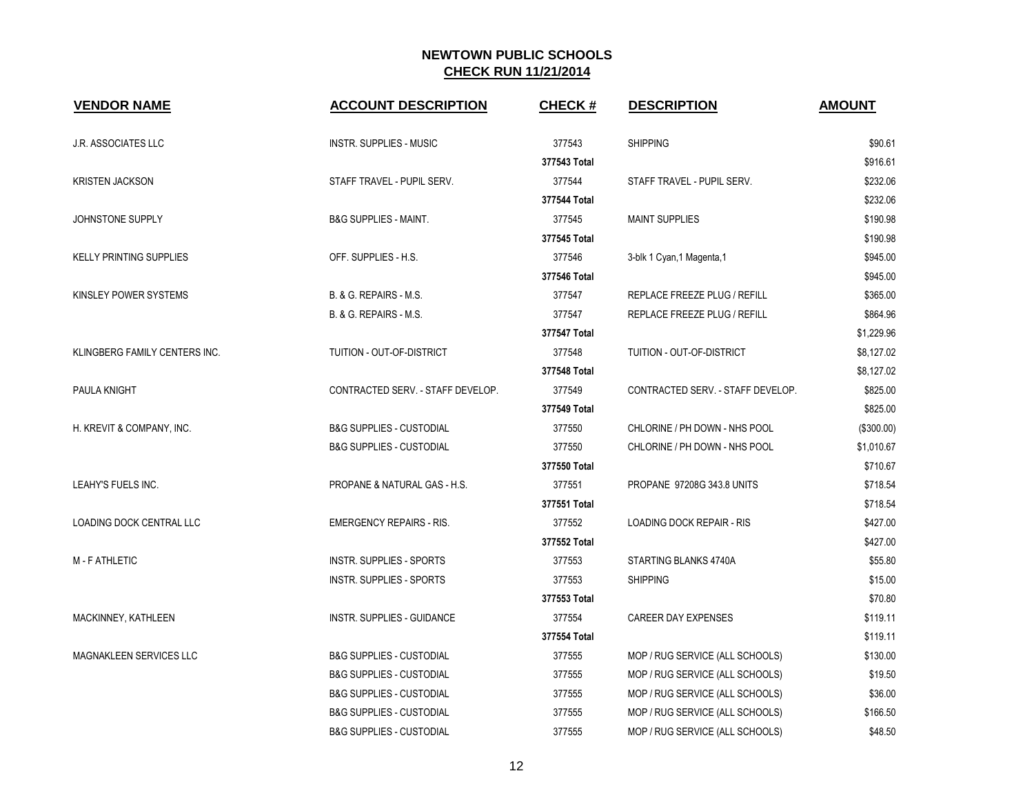| <b>VENDOR NAME</b>              | <b>ACCOUNT DESCRIPTION</b>          | <b>CHECK#</b> | <b>DESCRIPTION</b>                | <b>AMOUNT</b> |
|---------------------------------|-------------------------------------|---------------|-----------------------------------|---------------|
| <b>J.R. ASSOCIATES LLC</b>      | <b>INSTR. SUPPLIES - MUSIC</b>      | 377543        | <b>SHIPPING</b>                   | \$90.61       |
|                                 |                                     | 377543 Total  |                                   | \$916.61      |
| <b>KRISTEN JACKSON</b>          | STAFF TRAVEL - PUPIL SERV.          | 377544        | STAFF TRAVEL - PUPIL SERV.        | \$232.06      |
|                                 |                                     | 377544 Total  |                                   | \$232.06      |
| JOHNSTONE SUPPLY                | <b>B&amp;G SUPPLIES - MAINT.</b>    | 377545        | <b>MAINT SUPPLIES</b>             | \$190.98      |
|                                 |                                     | 377545 Total  |                                   | \$190.98      |
| <b>KELLY PRINTING SUPPLIES</b>  | OFF. SUPPLIES - H.S.                | 377546        | 3-blk 1 Cyan, 1 Magenta, 1        | \$945.00      |
|                                 |                                     | 377546 Total  |                                   | \$945.00      |
| KINSLEY POWER SYSTEMS           | B. & G. REPAIRS - M.S.              | 377547        | REPLACE FREEZE PLUG / REFILL      | \$365.00      |
|                                 | B. & G. REPAIRS - M.S.              | 377547        | REPLACE FREEZE PLUG / REFILL      | \$864.96      |
|                                 |                                     | 377547 Total  |                                   | \$1,229.96    |
| KLINGBERG FAMILY CENTERS INC.   | TUITION - OUT-OF-DISTRICT           | 377548        | TUITION - OUT-OF-DISTRICT         | \$8,127.02    |
|                                 |                                     | 377548 Total  |                                   | \$8,127.02    |
| PAULA KNIGHT                    | CONTRACTED SERV. - STAFF DEVELOP.   | 377549        | CONTRACTED SERV. - STAFF DEVELOP. | \$825.00      |
|                                 |                                     | 377549 Total  |                                   | \$825.00      |
| H. KREVIT & COMPANY, INC.       | <b>B&amp;G SUPPLIES - CUSTODIAL</b> | 377550        | CHLORINE / PH DOWN - NHS POOL     | (\$300.00)    |
|                                 | <b>B&amp;G SUPPLIES - CUSTODIAL</b> | 377550        | CHLORINE / PH DOWN - NHS POOL     | \$1,010.67    |
|                                 |                                     | 377550 Total  |                                   | \$710.67      |
| LEAHY'S FUELS INC.              | PROPANE & NATURAL GAS - H.S.        | 377551        | PROPANE 97208G 343.8 UNITS        | \$718.54      |
|                                 |                                     | 377551 Total  |                                   | \$718.54      |
| <b>LOADING DOCK CENTRAL LLC</b> | <b>EMERGENCY REPAIRS - RIS.</b>     | 377552        | <b>LOADING DOCK REPAIR - RIS</b>  | \$427.00      |
|                                 |                                     | 377552 Total  |                                   | \$427.00      |
| <b>M-FATHLETIC</b>              | INSTR. SUPPLIES - SPORTS            | 377553        | STARTING BLANKS 4740A             | \$55.80       |
|                                 | INSTR. SUPPLIES - SPORTS            | 377553        | <b>SHIPPING</b>                   | \$15.00       |
|                                 |                                     | 377553 Total  |                                   | \$70.80       |
| MACKINNEY, KATHLEEN             | INSTR. SUPPLIES - GUIDANCE          | 377554        | <b>CAREER DAY EXPENSES</b>        | \$119.11      |
|                                 |                                     | 377554 Total  |                                   | \$119.11      |
| MAGNAKLEEN SERVICES LLC         | <b>B&amp;G SUPPLIES - CUSTODIAL</b> | 377555        | MOP / RUG SERVICE (ALL SCHOOLS)   | \$130.00      |
|                                 | <b>B&amp;G SUPPLIES - CUSTODIAL</b> | 377555        | MOP / RUG SERVICE (ALL SCHOOLS)   | \$19.50       |
|                                 | <b>B&amp;G SUPPLIES - CUSTODIAL</b> | 377555        | MOP / RUG SERVICE (ALL SCHOOLS)   | \$36.00       |
|                                 | <b>B&amp;G SUPPLIES - CUSTODIAL</b> | 377555        | MOP / RUG SERVICE (ALL SCHOOLS)   | \$166.50      |
|                                 | <b>B&amp;G SUPPLIES - CUSTODIAL</b> | 377555        | MOP / RUG SERVICE (ALL SCHOOLS)   | \$48.50       |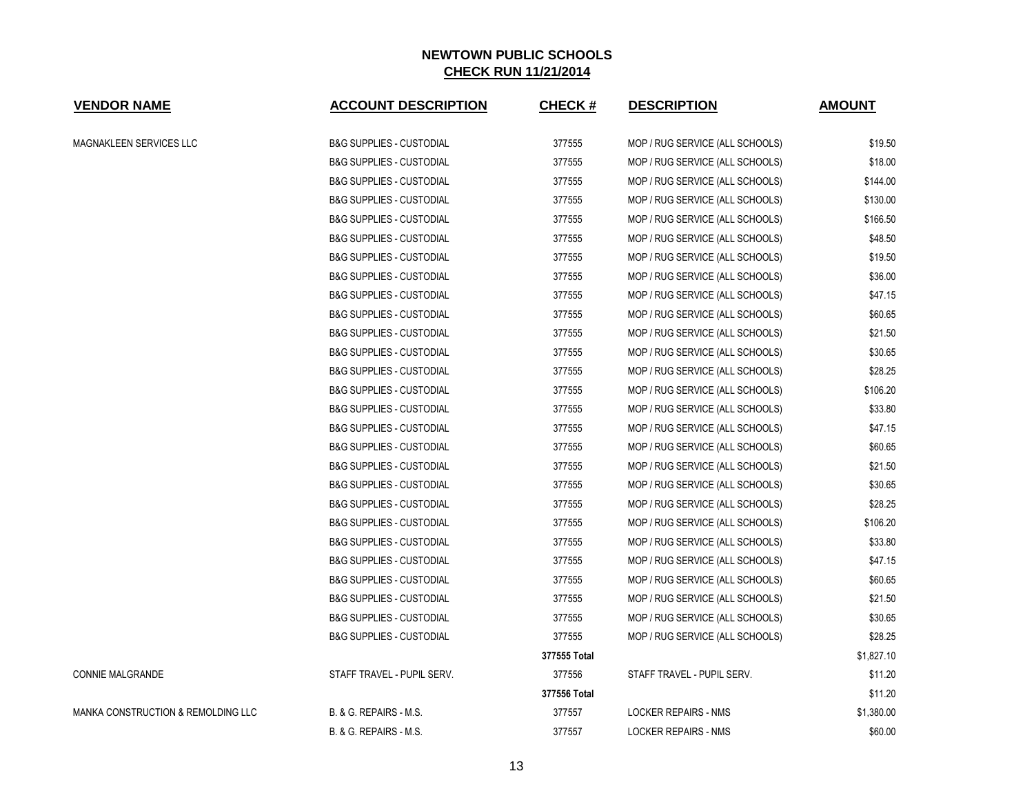| <b>VENDOR NAME</b>                 | <b>ACCOUNT DESCRIPTION</b>          | <b>CHECK#</b> | <b>DESCRIPTION</b>              | <b>AMOUNT</b> |
|------------------------------------|-------------------------------------|---------------|---------------------------------|---------------|
| <b>MAGNAKLEEN SERVICES LLC</b>     | <b>B&amp;G SUPPLIES - CUSTODIAL</b> | 377555        | MOP / RUG SERVICE (ALL SCHOOLS) | \$19.50       |
|                                    | <b>B&amp;G SUPPLIES - CUSTODIAL</b> | 377555        | MOP / RUG SERVICE (ALL SCHOOLS) | \$18.00       |
|                                    | <b>B&amp;G SUPPLIES - CUSTODIAL</b> | 377555        | MOP / RUG SERVICE (ALL SCHOOLS) | \$144.00      |
|                                    | <b>B&amp;G SUPPLIES - CUSTODIAL</b> | 377555        | MOP / RUG SERVICE (ALL SCHOOLS) | \$130.00      |
|                                    | <b>B&amp;G SUPPLIES - CUSTODIAL</b> | 377555        | MOP / RUG SERVICE (ALL SCHOOLS) | \$166.50      |
|                                    | <b>B&amp;G SUPPLIES - CUSTODIAL</b> | 377555        | MOP / RUG SERVICE (ALL SCHOOLS) | \$48.50       |
|                                    | <b>B&amp;G SUPPLIES - CUSTODIAL</b> | 377555        | MOP / RUG SERVICE (ALL SCHOOLS) | \$19.50       |
|                                    | <b>B&amp;G SUPPLIES - CUSTODIAL</b> | 377555        | MOP / RUG SERVICE (ALL SCHOOLS) | \$36.00       |
|                                    | <b>B&amp;G SUPPLIES - CUSTODIAL</b> | 377555        | MOP / RUG SERVICE (ALL SCHOOLS) | \$47.15       |
|                                    | <b>B&amp;G SUPPLIES - CUSTODIAL</b> | 377555        | MOP / RUG SERVICE (ALL SCHOOLS) | \$60.65       |
|                                    | <b>B&amp;G SUPPLIES - CUSTODIAL</b> | 377555        | MOP / RUG SERVICE (ALL SCHOOLS) | \$21.50       |
|                                    | <b>B&amp;G SUPPLIES - CUSTODIAL</b> | 377555        | MOP / RUG SERVICE (ALL SCHOOLS) | \$30.65       |
|                                    | <b>B&amp;G SUPPLIES - CUSTODIAL</b> | 377555        | MOP / RUG SERVICE (ALL SCHOOLS) | \$28.25       |
|                                    | <b>B&amp;G SUPPLIES - CUSTODIAL</b> | 377555        | MOP / RUG SERVICE (ALL SCHOOLS) | \$106.20      |
|                                    | <b>B&amp;G SUPPLIES - CUSTODIAL</b> | 377555        | MOP / RUG SERVICE (ALL SCHOOLS) | \$33.80       |
|                                    | <b>B&amp;G SUPPLIES - CUSTODIAL</b> | 377555        | MOP / RUG SERVICE (ALL SCHOOLS) | \$47.15       |
|                                    | <b>B&amp;G SUPPLIES - CUSTODIAL</b> | 377555        | MOP / RUG SERVICE (ALL SCHOOLS) | \$60.65       |
|                                    | <b>B&amp;G SUPPLIES - CUSTODIAL</b> | 377555        | MOP / RUG SERVICE (ALL SCHOOLS) | \$21.50       |
|                                    | <b>B&amp;G SUPPLIES - CUSTODIAL</b> | 377555        | MOP / RUG SERVICE (ALL SCHOOLS) | \$30.65       |
|                                    | <b>B&amp;G SUPPLIES - CUSTODIAL</b> | 377555        | MOP / RUG SERVICE (ALL SCHOOLS) | \$28.25       |
|                                    | <b>B&amp;G SUPPLIES - CUSTODIAL</b> | 377555        | MOP / RUG SERVICE (ALL SCHOOLS) | \$106.20      |
|                                    | <b>B&amp;G SUPPLIES - CUSTODIAL</b> | 377555        | MOP / RUG SERVICE (ALL SCHOOLS) | \$33.80       |
|                                    | <b>B&amp;G SUPPLIES - CUSTODIAL</b> | 377555        | MOP / RUG SERVICE (ALL SCHOOLS) | \$47.15       |
|                                    | <b>B&amp;G SUPPLIES - CUSTODIAL</b> | 377555        | MOP / RUG SERVICE (ALL SCHOOLS) | \$60.65       |
|                                    | <b>B&amp;G SUPPLIES - CUSTODIAL</b> | 377555        | MOP / RUG SERVICE (ALL SCHOOLS) | \$21.50       |
|                                    | <b>B&amp;G SUPPLIES - CUSTODIAL</b> | 377555        | MOP / RUG SERVICE (ALL SCHOOLS) | \$30.65       |
|                                    | <b>B&amp;G SUPPLIES - CUSTODIAL</b> | 377555        | MOP / RUG SERVICE (ALL SCHOOLS) | \$28.25       |
|                                    |                                     | 377555 Total  |                                 | \$1,827.10    |
| <b>CONNIE MALGRANDE</b>            | STAFF TRAVEL - PUPIL SERV.          | 377556        | STAFF TRAVEL - PUPIL SERV.      | \$11.20       |
|                                    |                                     | 377556 Total  |                                 | \$11.20       |
| MANKA CONSTRUCTION & REMOLDING LLC | B. & G. REPAIRS - M.S.              | 377557        | <b>LOCKER REPAIRS - NMS</b>     | \$1,380.00    |
|                                    | B. & G. REPAIRS - M.S.              | 377557        | <b>LOCKER REPAIRS - NMS</b>     | \$60.00       |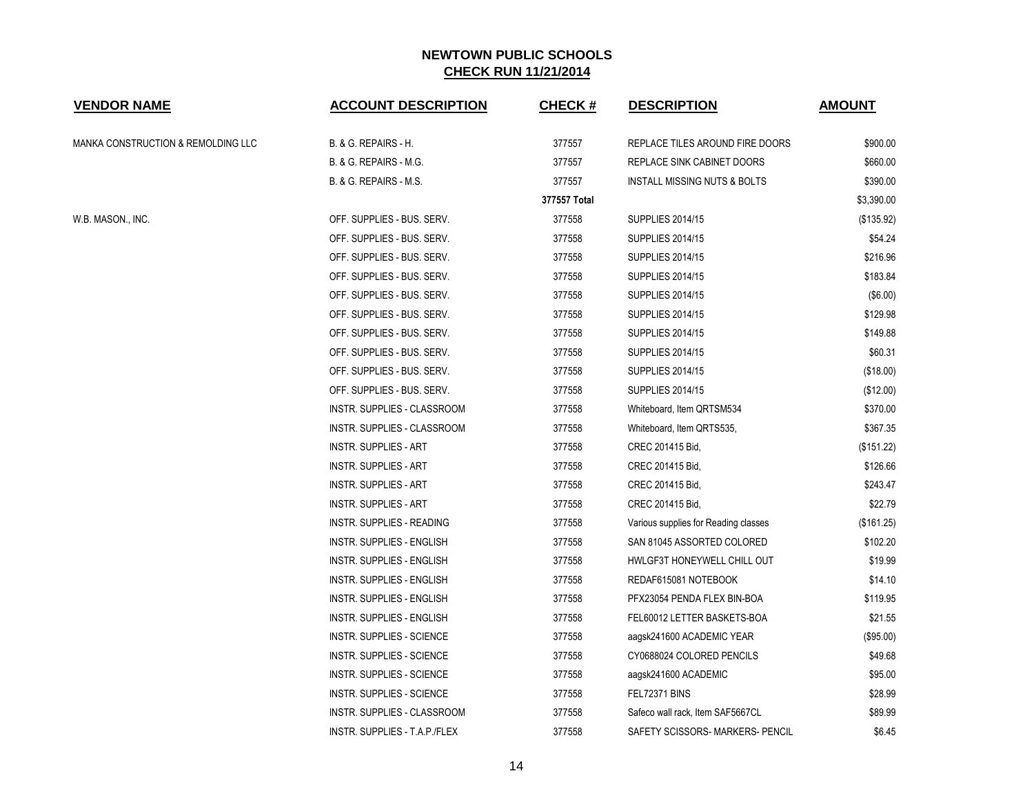| <b>VENDOR NAME</b>                 | <b>ACCOUNT DESCRIPTION</b>       | <b>CHECK#</b> | <b>DESCRIPTION</b>                      | <b>AMOUNT</b> |
|------------------------------------|----------------------------------|---------------|-----------------------------------------|---------------|
| MANKA CONSTRUCTION & REMOLDING LLC | B. & G. REPAIRS - H.             | 377557        | REPLACE TILES AROUND FIRE DOORS         | \$900.00      |
|                                    | B. & G. REPAIRS - M.G.           | 377557        | REPLACE SINK CABINET DOORS              | \$660.00      |
|                                    | B. & G. REPAIRS - M.S.           | 377557        | <b>INSTALL MISSING NUTS &amp; BOLTS</b> | \$390.00      |
|                                    |                                  | 377557 Total  |                                         | \$3,390.00    |
| W.B. MASON., INC.                  | OFF. SUPPLIES - BUS. SERV.       | 377558        | <b>SUPPLIES 2014/15</b>                 | (\$135.92)    |
|                                    | OFF. SUPPLIES - BUS. SERV.       | 377558        | <b>SUPPLIES 2014/15</b>                 | \$54.24       |
|                                    | OFF. SUPPLIES - BUS. SERV.       | 377558        | <b>SUPPLIES 2014/15</b>                 | \$216.96      |
|                                    | OFF. SUPPLIES - BUS. SERV.       | 377558        | <b>SUPPLIES 2014/15</b>                 | \$183.84      |
|                                    | OFF. SUPPLIES - BUS. SERV.       | 377558        | <b>SUPPLIES 2014/15</b>                 | (\$6.00)      |
|                                    | OFF. SUPPLIES - BUS. SERV.       | 377558        | <b>SUPPLIES 2014/15</b>                 | \$129.98      |
|                                    | OFF. SUPPLIES - BUS. SERV.       | 377558        | <b>SUPPLIES 2014/15</b>                 | \$149.88      |
|                                    | OFF. SUPPLIES - BUS. SERV.       | 377558        | <b>SUPPLIES 2014/15</b>                 | \$60.31       |
|                                    | OFF. SUPPLIES - BUS. SERV.       | 377558        | <b>SUPPLIES 2014/15</b>                 | (\$18.00)     |
|                                    | OFF. SUPPLIES - BUS. SERV.       | 377558        | <b>SUPPLIES 2014/15</b>                 | (\$12.00)     |
|                                    | INSTR. SUPPLIES - CLASSROOM      | 377558        | Whiteboard, Item QRTSM534               | \$370.00      |
|                                    | INSTR. SUPPLIES - CLASSROOM      | 377558        | Whiteboard, Item QRTS535,               | \$367.35      |
|                                    | <b>INSTR. SUPPLIES - ART</b>     | 377558        | CREC 201415 Bid,                        | (\$151.22)    |
|                                    | <b>INSTR. SUPPLIES - ART</b>     | 377558        | CREC 201415 Bid,                        | \$126.66      |
|                                    | <b>INSTR. SUPPLIES - ART</b>     | 377558        | CREC 201415 Bid,                        | \$243.47      |
|                                    | <b>INSTR. SUPPLIES - ART</b>     | 377558        | CREC 201415 Bid,                        | \$22.79       |
|                                    | INSTR. SUPPLIES - READING        | 377558        | Various supplies for Reading classes    | (\$161.25)    |
|                                    | <b>INSTR. SUPPLIES - ENGLISH</b> | 377558        | SAN 81045 ASSORTED COLORED              | \$102.20      |
|                                    | INSTR. SUPPLIES - ENGLISH        | 377558        | HWLGF3T HONEYWELL CHILL OUT             | \$19.99       |
|                                    | INSTR. SUPPLIES - ENGLISH        | 377558        | REDAF615081 NOTEBOOK                    | \$14.10       |
|                                    | INSTR. SUPPLIES - ENGLISH        | 377558        | PFX23054 PENDA FLEX BIN-BOA             | \$119.95      |
|                                    | INSTR. SUPPLIES - ENGLISH        | 377558        | FEL60012 LETTER BASKETS-BOA             | \$21.55       |
|                                    | <b>INSTR. SUPPLIES - SCIENCE</b> | 377558        | aagsk241600 ACADEMIC YEAR               | (\$95.00)     |
|                                    | <b>INSTR. SUPPLIES - SCIENCE</b> | 377558        | CY0688024 COLORED PENCILS               | \$49.68       |
|                                    | <b>INSTR. SUPPLIES - SCIENCE</b> | 377558        | aagsk241600 ACADEMIC                    | \$95.00       |
|                                    | INSTR. SUPPLIES - SCIENCE        | 377558        | FEL72371 BINS                           | \$28.99       |
|                                    | INSTR. SUPPLIES - CLASSROOM      | 377558        | Safeco wall rack, Item SAF5667CL        | \$89.99       |
|                                    | INSTR. SUPPLIES - T.A.P./FLEX    | 377558        | SAFETY SCISSORS- MARKERS- PENCIL        | \$6.45        |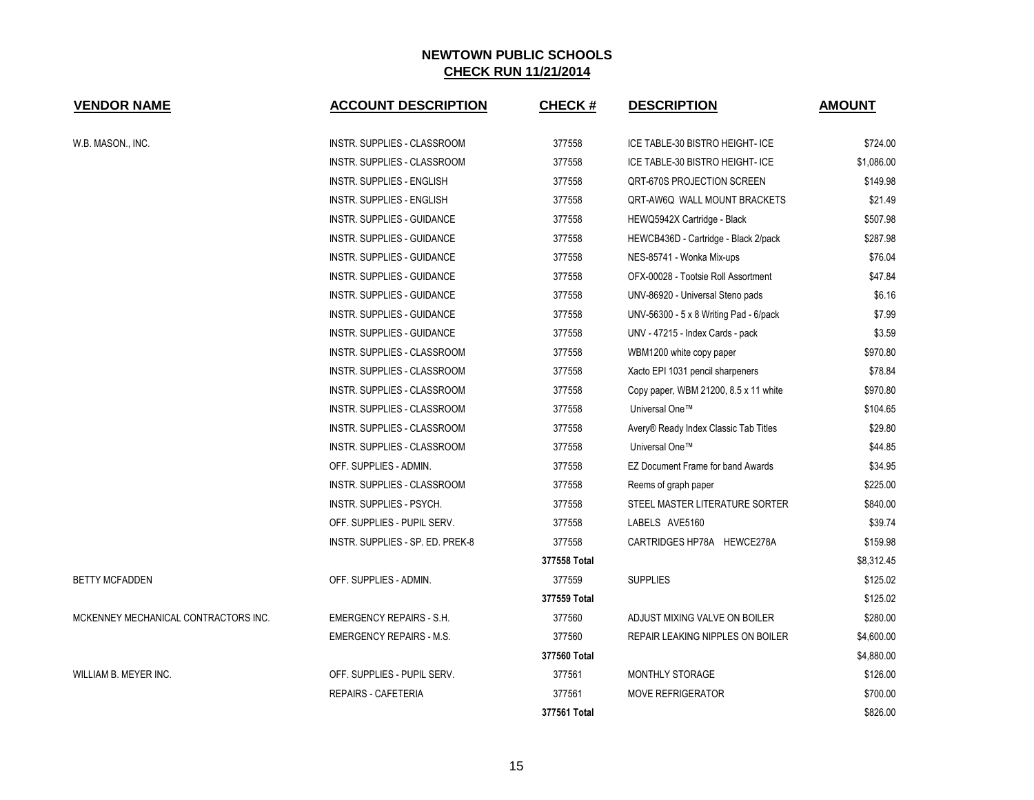| <b>VENDOR NAME</b>                   | <b>ACCOUNT DESCRIPTION</b>         | <b>CHECK#</b> | <b>DESCRIPTION</b>                       | <b>AMOUNT</b> |
|--------------------------------------|------------------------------------|---------------|------------------------------------------|---------------|
|                                      |                                    |               |                                          |               |
| W.B. MASON., INC.                    | INSTR. SUPPLIES - CLASSROOM        | 377558        | ICE TABLE-30 BISTRO HEIGHT- ICE          | \$724.00      |
|                                      | INSTR. SUPPLIES - CLASSROOM        | 377558        | ICE TABLE-30 BISTRO HEIGHT- ICE          | \$1,086.00    |
|                                      | INSTR. SUPPLIES - ENGLISH          | 377558        | <b>QRT-670S PROJECTION SCREEN</b>        | \$149.98      |
|                                      | <b>INSTR. SUPPLIES - ENGLISH</b>   | 377558        | QRT-AW6Q WALL MOUNT BRACKETS             | \$21.49       |
|                                      | <b>INSTR. SUPPLIES - GUIDANCE</b>  | 377558        | HEWQ5942X Cartridge - Black              | \$507.98      |
|                                      | INSTR. SUPPLIES - GUIDANCE         | 377558        | HEWCB436D - Cartridge - Black 2/pack     | \$287.98      |
|                                      | <b>INSTR. SUPPLIES - GUIDANCE</b>  | 377558        | NES-85741 - Wonka Mix-ups                | \$76.04       |
|                                      | INSTR. SUPPLIES - GUIDANCE         | 377558        | OFX-00028 - Tootsie Roll Assortment      | \$47.84       |
|                                      | INSTR. SUPPLIES - GUIDANCE         | 377558        | UNV-86920 - Universal Steno pads         | \$6.16        |
|                                      | INSTR. SUPPLIES - GUIDANCE         | 377558        | UNV-56300 - 5 x 8 Writing Pad - 6/pack   | \$7.99        |
|                                      | INSTR. SUPPLIES - GUIDANCE         | 377558        | UNV - 47215 - Index Cards - pack         | \$3.59        |
|                                      | INSTR. SUPPLIES - CLASSROOM        | 377558        | WBM1200 white copy paper                 | \$970.80      |
|                                      | INSTR. SUPPLIES - CLASSROOM        | 377558        | Xacto EPI 1031 pencil sharpeners         | \$78.84       |
|                                      | INSTR. SUPPLIES - CLASSROOM        | 377558        | Copy paper, WBM 21200, 8.5 x 11 white    | \$970.80      |
|                                      | <b>INSTR. SUPPLIES - CLASSROOM</b> | 377558        | Universal One™                           | \$104.65      |
|                                      | INSTR. SUPPLIES - CLASSROOM        | 377558        | Avery® Ready Index Classic Tab Titles    | \$29.80       |
|                                      | INSTR. SUPPLIES - CLASSROOM        | 377558        | Universal One™                           | \$44.85       |
|                                      | OFF. SUPPLIES - ADMIN.             | 377558        | <b>EZ Document Frame for band Awards</b> | \$34.95       |
|                                      | INSTR. SUPPLIES - CLASSROOM        | 377558        | Reems of graph paper                     | \$225.00      |
|                                      | INSTR. SUPPLIES - PSYCH.           | 377558        | STEEL MASTER LITERATURE SORTER           | \$840.00      |
|                                      | OFF. SUPPLIES - PUPIL SERV.        | 377558        | LABELS AVE5160                           | \$39.74       |
|                                      | INSTR. SUPPLIES - SP. ED. PREK-8   | 377558        | CARTRIDGES HP78A HEWCE278A               | \$159.98      |
|                                      |                                    | 377558 Total  |                                          | \$8,312.45    |
| <b>BETTY MCFADDEN</b>                | OFF. SUPPLIES - ADMIN.             | 377559        | <b>SUPPLIES</b>                          | \$125.02      |
|                                      |                                    | 377559 Total  |                                          | \$125.02      |
| MCKENNEY MECHANICAL CONTRACTORS INC. | <b>EMERGENCY REPAIRS - S.H.</b>    | 377560        | ADJUST MIXING VALVE ON BOILER            | \$280.00      |
|                                      | <b>EMERGENCY REPAIRS - M.S.</b>    | 377560        | REPAIR LEAKING NIPPLES ON BOILER         | \$4,600.00    |
|                                      |                                    | 377560 Total  |                                          | \$4,880.00    |
| WILLIAM B. MEYER INC.                | OFF. SUPPLIES - PUPIL SERV.        | 377561        | MONTHLY STORAGE                          | \$126.00      |
|                                      | REPAIRS - CAFETERIA                | 377561        | <b>MOVE REFRIGERATOR</b>                 | \$700.00      |
|                                      |                                    | 377561 Total  |                                          | \$826.00      |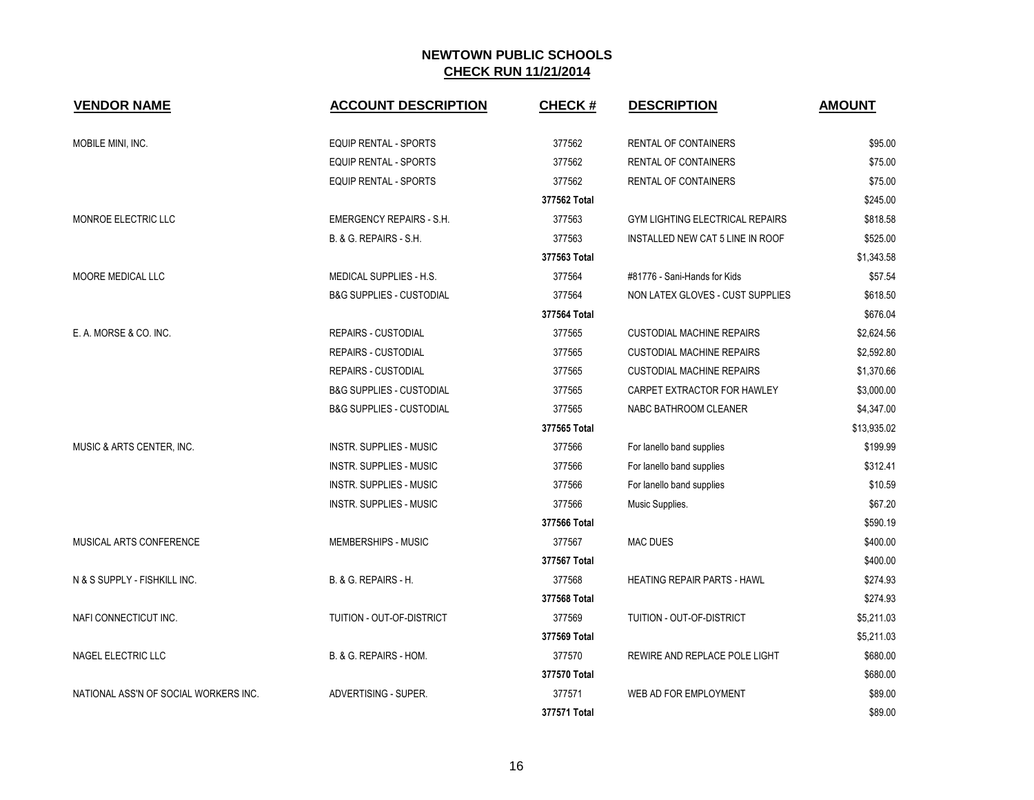| <b>VENDOR NAME</b>                    | <b>ACCOUNT DESCRIPTION</b>          | <b>CHECK#</b> | <b>DESCRIPTION</b>                     | <b>AMOUNT</b> |
|---------------------------------------|-------------------------------------|---------------|----------------------------------------|---------------|
| MOBILE MINI, INC.                     | <b>EQUIP RENTAL - SPORTS</b>        | 377562        | <b>RENTAL OF CONTAINERS</b>            | \$95.00       |
|                                       | <b>EQUIP RENTAL - SPORTS</b>        | 377562        | <b>RENTAL OF CONTAINERS</b>            | \$75.00       |
|                                       | <b>EQUIP RENTAL - SPORTS</b>        | 377562        | RENTAL OF CONTAINERS                   | \$75.00       |
|                                       |                                     | 377562 Total  |                                        | \$245.00      |
| MONROE ELECTRIC LLC                   | <b>EMERGENCY REPAIRS - S.H.</b>     | 377563        | <b>GYM LIGHTING ELECTRICAL REPAIRS</b> | \$818.58      |
|                                       | <b>B. &amp; G. REPAIRS - S.H.</b>   | 377563        | INSTALLED NEW CAT 5 LINE IN ROOF       | \$525.00      |
|                                       |                                     | 377563 Total  |                                        | \$1,343.58    |
| MOORE MEDICAL LLC                     | MEDICAL SUPPLIES - H.S.             | 377564        | #81776 - Sani-Hands for Kids           | \$57.54       |
|                                       | <b>B&amp;G SUPPLIES - CUSTODIAL</b> | 377564        | NON LATEX GLOVES - CUST SUPPLIES       | \$618.50      |
|                                       |                                     | 377564 Total  |                                        | \$676.04      |
| E. A. MORSE & CO. INC.                | <b>REPAIRS - CUSTODIAL</b>          | 377565        | <b>CUSTODIAL MACHINE REPAIRS</b>       | \$2,624.56    |
|                                       | <b>REPAIRS - CUSTODIAL</b>          | 377565        | <b>CUSTODIAL MACHINE REPAIRS</b>       | \$2,592.80    |
|                                       | <b>REPAIRS - CUSTODIAL</b>          | 377565        | <b>CUSTODIAL MACHINE REPAIRS</b>       | \$1,370.66    |
|                                       | <b>B&amp;G SUPPLIES - CUSTODIAL</b> | 377565        | CARPET EXTRACTOR FOR HAWLEY            | \$3,000.00    |
|                                       | <b>B&amp;G SUPPLIES - CUSTODIAL</b> | 377565        | NABC BATHROOM CLEANER                  | \$4,347.00    |
|                                       |                                     | 377565 Total  |                                        | \$13,935.02   |
| MUSIC & ARTS CENTER, INC.             | <b>INSTR. SUPPLIES - MUSIC</b>      | 377566        | For lanello band supplies              | \$199.99      |
|                                       | <b>INSTR. SUPPLIES - MUSIC</b>      | 377566        | For lanello band supplies              | \$312.41      |
|                                       | <b>INSTR. SUPPLIES - MUSIC</b>      | 377566        | For lanello band supplies              | \$10.59       |
|                                       | <b>INSTR. SUPPLIES - MUSIC</b>      | 377566        | Music Supplies.                        | \$67.20       |
|                                       |                                     | 377566 Total  |                                        | \$590.19      |
| MUSICAL ARTS CONFERENCE               | MEMBERSHIPS - MUSIC                 | 377567        | <b>MAC DUES</b>                        | \$400.00      |
|                                       |                                     | 377567 Total  |                                        | \$400.00      |
| N & S SUPPLY - FISHKILL INC.          | B. & G. REPAIRS - H.                | 377568        | <b>HEATING REPAIR PARTS - HAWL</b>     | \$274.93      |
|                                       |                                     | 377568 Total  |                                        | \$274.93      |
| NAFI CONNECTICUT INC.                 | TUITION - OUT-OF-DISTRICT           | 377569        | TUITION - OUT-OF-DISTRICT              | \$5,211.03    |
|                                       |                                     | 377569 Total  |                                        | \$5,211.03    |
| NAGEL ELECTRIC LLC                    | B. & G. REPAIRS - HOM.              | 377570        | REWIRE AND REPLACE POLE LIGHT          | \$680.00      |
|                                       |                                     | 377570 Total  |                                        | \$680.00      |
| NATIONAL ASS'N OF SOCIAL WORKERS INC. | ADVERTISING - SUPER.                | 377571        | WEB AD FOR EMPLOYMENT                  | \$89.00       |
|                                       |                                     | 377571 Total  |                                        | \$89.00       |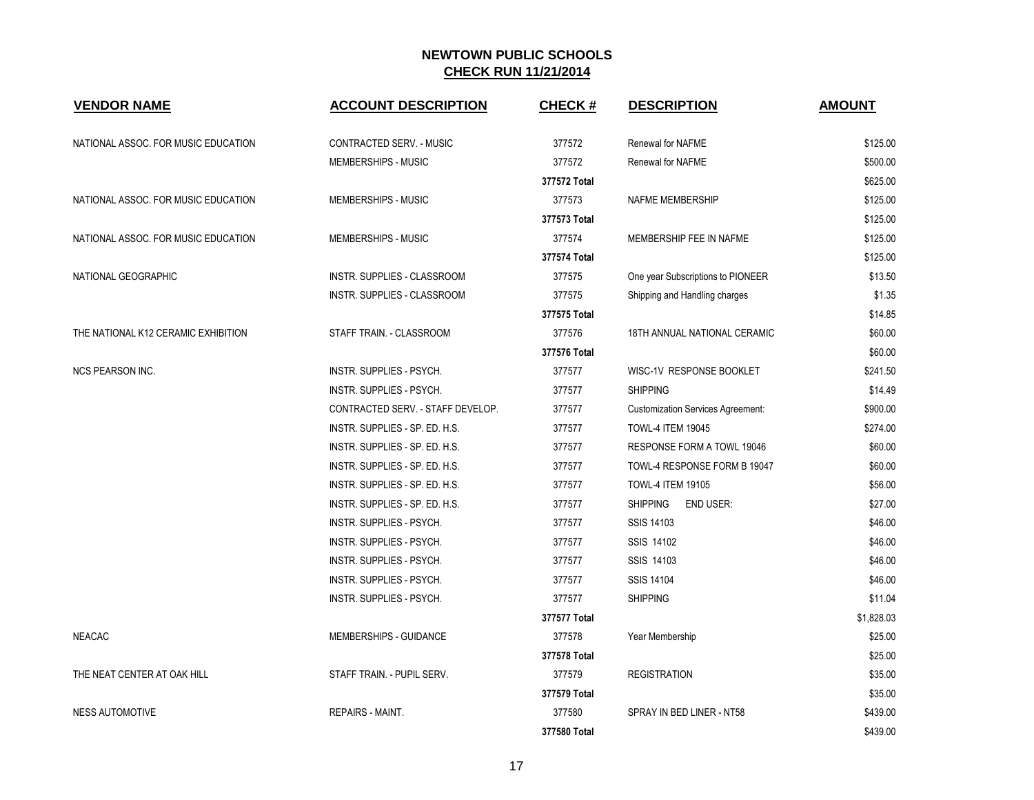| <b>VENDOR NAME</b>                  | <b>ACCOUNT DESCRIPTION</b>        | <b>CHECK#</b> | <b>DESCRIPTION</b>                       | <b>AMOUNT</b> |
|-------------------------------------|-----------------------------------|---------------|------------------------------------------|---------------|
| NATIONAL ASSOC. FOR MUSIC EDUCATION | CONTRACTED SERV. - MUSIC          | 377572        | <b>Renewal for NAFME</b>                 | \$125.00      |
|                                     | MEMBERSHIPS - MUSIC               | 377572        | Renewal for NAFME                        | \$500.00      |
|                                     |                                   | 377572 Total  |                                          | \$625.00      |
| NATIONAL ASSOC. FOR MUSIC EDUCATION | MEMBERSHIPS - MUSIC               | 377573        | NAFME MEMBERSHIP                         | \$125.00      |
|                                     |                                   | 377573 Total  |                                          | \$125.00      |
| NATIONAL ASSOC. FOR MUSIC EDUCATION | MEMBERSHIPS - MUSIC               | 377574        | MEMBERSHIP FEE IN NAFME                  | \$125.00      |
|                                     |                                   | 377574 Total  |                                          | \$125.00      |
| NATIONAL GEOGRAPHIC                 | INSTR. SUPPLIES - CLASSROOM       | 377575        | One year Subscriptions to PIONEER        | \$13.50       |
|                                     | INSTR. SUPPLIES - CLASSROOM       | 377575        | Shipping and Handling charges            | \$1.35        |
|                                     |                                   | 377575 Total  |                                          | \$14.85       |
| THE NATIONAL K12 CERAMIC EXHIBITION | STAFF TRAIN. - CLASSROOM          | 377576        | 18TH ANNUAL NATIONAL CERAMIC             | \$60.00       |
|                                     |                                   | 377576 Total  |                                          | \$60.00       |
| <b>NCS PEARSON INC.</b>             | INSTR. SUPPLIES - PSYCH.          | 377577        | WISC-1V RESPONSE BOOKLET                 | \$241.50      |
|                                     | INSTR. SUPPLIES - PSYCH.          | 377577        | <b>SHIPPING</b>                          | \$14.49       |
|                                     | CONTRACTED SERV. - STAFF DEVELOP. | 377577        | <b>Customization Services Agreement:</b> | \$900.00      |
|                                     | INSTR. SUPPLIES - SP. ED. H.S.    | 377577        | <b>TOWL-4 ITEM 19045</b>                 | \$274.00      |
|                                     | INSTR. SUPPLIES - SP. ED. H.S.    | 377577        | RESPONSE FORM A TOWL 19046               | \$60.00       |
|                                     | INSTR. SUPPLIES - SP. ED. H.S.    | 377577        | TOWL-4 RESPONSE FORM B 19047             | \$60.00       |
|                                     | INSTR. SUPPLIES - SP. ED. H.S.    | 377577        | <b>TOWL-4 ITEM 19105</b>                 | \$56.00       |
|                                     | INSTR. SUPPLIES - SP. ED. H.S.    | 377577        | <b>SHIPPING</b><br><b>END USER:</b>      | \$27.00       |
|                                     | INSTR. SUPPLIES - PSYCH.          | 377577        | SSIS 14103                               | \$46.00       |
|                                     | INSTR. SUPPLIES - PSYCH.          | 377577        | SSIS 14102                               | \$46.00       |
|                                     | INSTR. SUPPLIES - PSYCH.          | 377577        | SSIS 14103                               | \$46.00       |
|                                     | INSTR. SUPPLIES - PSYCH.          | 377577        | <b>SSIS 14104</b>                        | \$46.00       |
|                                     | INSTR. SUPPLIES - PSYCH.          | 377577        | <b>SHIPPING</b>                          | \$11.04       |
|                                     |                                   | 377577 Total  |                                          | \$1,828.03    |
| <b>NEACAC</b>                       | MEMBERSHIPS - GUIDANCE            | 377578        | Year Membership                          | \$25.00       |
|                                     |                                   | 377578 Total  |                                          | \$25.00       |
| THE NEAT CENTER AT OAK HILL         | STAFF TRAIN. - PUPIL SERV.        | 377579        | <b>REGISTRATION</b>                      | \$35.00       |
|                                     |                                   | 377579 Total  |                                          | \$35.00       |
| <b>NESS AUTOMOTIVE</b>              | <b>REPAIRS - MAINT.</b>           | 377580        | SPRAY IN BED LINER - NT58                | \$439.00      |
|                                     |                                   | 377580 Total  |                                          | \$439.00      |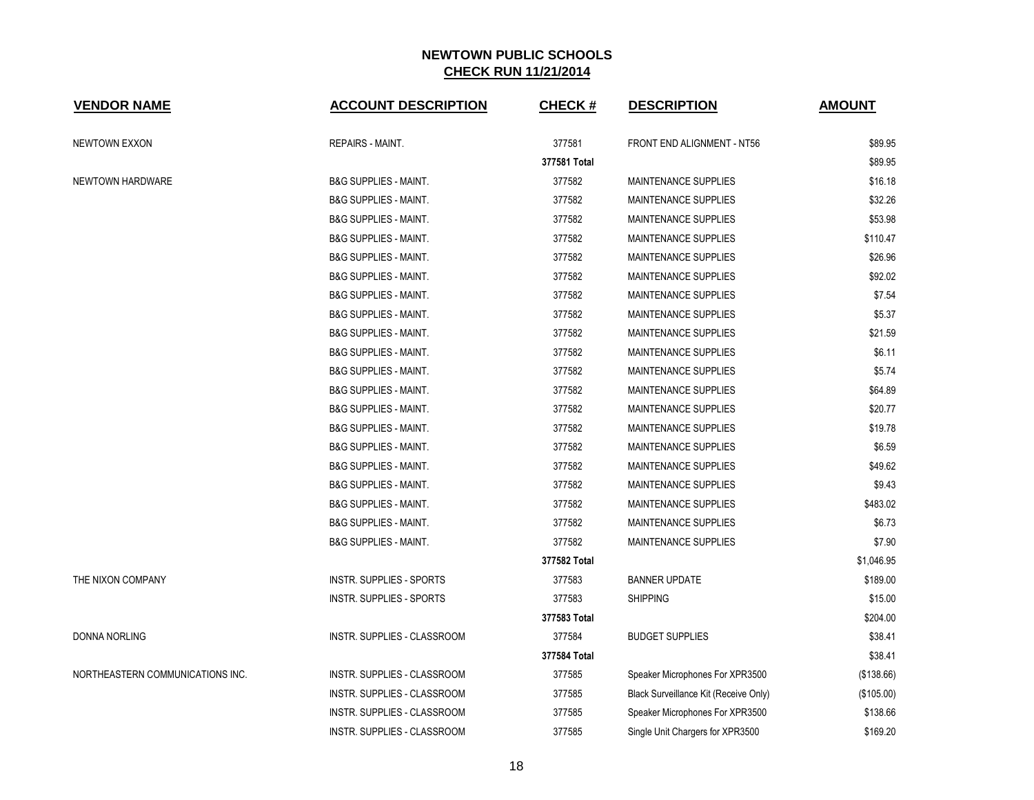| <b>VENDOR NAME</b>               | <b>ACCOUNT DESCRIPTION</b>       | <b>CHECK#</b> | <b>DESCRIPTION</b>                    | <b>AMOUNT</b> |
|----------------------------------|----------------------------------|---------------|---------------------------------------|---------------|
| NEWTOWN EXXON                    | <b>REPAIRS - MAINT.</b>          | 377581        | FRONT END ALIGNMENT - NT56            | \$89.95       |
|                                  |                                  | 377581 Total  |                                       | \$89.95       |
| NEWTOWN HARDWARE                 | <b>B&amp;G SUPPLIES - MAINT.</b> | 377582        | MAINTENANCE SUPPLIES                  | \$16.18       |
|                                  | <b>B&amp;G SUPPLIES - MAINT.</b> | 377582        | MAINTENANCE SUPPLIES                  | \$32.26       |
|                                  | <b>B&amp;G SUPPLIES - MAINT.</b> | 377582        | <b>MAINTENANCE SUPPLIES</b>           | \$53.98       |
|                                  | <b>B&amp;G SUPPLIES - MAINT.</b> | 377582        | MAINTENANCE SUPPLIES                  | \$110.47      |
|                                  | <b>B&amp;G SUPPLIES - MAINT.</b> | 377582        | <b>MAINTENANCE SUPPLIES</b>           | \$26.96       |
|                                  | <b>B&amp;G SUPPLIES - MAINT.</b> | 377582        | MAINTENANCE SUPPLIES                  | \$92.02       |
|                                  | <b>B&amp;G SUPPLIES - MAINT.</b> | 377582        | <b>MAINTENANCE SUPPLIES</b>           | \$7.54        |
|                                  | <b>B&amp;G SUPPLIES - MAINT.</b> | 377582        | <b>MAINTENANCE SUPPLIES</b>           | \$5.37        |
|                                  | <b>B&amp;G SUPPLIES - MAINT.</b> | 377582        | MAINTENANCE SUPPLIES                  | \$21.59       |
|                                  | <b>B&amp;G SUPPLIES - MAINT.</b> | 377582        | <b>MAINTENANCE SUPPLIES</b>           | \$6.11        |
|                                  | <b>B&amp;G SUPPLIES - MAINT.</b> | 377582        | MAINTENANCE SUPPLIES                  | \$5.74        |
|                                  | <b>B&amp;G SUPPLIES - MAINT.</b> | 377582        | <b>MAINTENANCE SUPPLIES</b>           | \$64.89       |
|                                  | <b>B&amp;G SUPPLIES - MAINT.</b> | 377582        | MAINTENANCE SUPPLIES                  | \$20.77       |
|                                  | <b>B&amp;G SUPPLIES - MAINT.</b> | 377582        | MAINTENANCE SUPPLIES                  | \$19.78       |
|                                  | <b>B&amp;G SUPPLIES - MAINT.</b> | 377582        | <b>MAINTENANCE SUPPLIES</b>           | \$6.59        |
|                                  | <b>B&amp;G SUPPLIES - MAINT.</b> | 377582        | MAINTENANCE SUPPLIES                  | \$49.62       |
|                                  | <b>B&amp;G SUPPLIES - MAINT.</b> | 377582        | <b>MAINTENANCE SUPPLIES</b>           | \$9.43        |
|                                  | <b>B&amp;G SUPPLIES - MAINT.</b> | 377582        | MAINTENANCE SUPPLIES                  | \$483.02      |
|                                  | <b>B&amp;G SUPPLIES - MAINT.</b> | 377582        | MAINTENANCE SUPPLIES                  | \$6.73        |
|                                  | <b>B&amp;G SUPPLIES - MAINT.</b> | 377582        | <b>MAINTENANCE SUPPLIES</b>           | \$7.90        |
|                                  |                                  | 377582 Total  |                                       | \$1,046.95    |
| THE NIXON COMPANY                | <b>INSTR. SUPPLIES - SPORTS</b>  | 377583        | <b>BANNER UPDATE</b>                  | \$189.00      |
|                                  | <b>INSTR. SUPPLIES - SPORTS</b>  | 377583        | <b>SHIPPING</b>                       | \$15.00       |
|                                  |                                  | 377583 Total  |                                       | \$204.00      |
| DONNA NORLING                    | INSTR. SUPPLIES - CLASSROOM      | 377584        | <b>BUDGET SUPPLIES</b>                | \$38.41       |
|                                  |                                  | 377584 Total  |                                       | \$38.41       |
| NORTHEASTERN COMMUNICATIONS INC. | INSTR. SUPPLIES - CLASSROOM      | 377585        | Speaker Microphones For XPR3500       | (\$138.66)    |
|                                  | INSTR. SUPPLIES - CLASSROOM      | 377585        | Black Surveillance Kit (Receive Only) | (\$105.00)    |
|                                  | INSTR. SUPPLIES - CLASSROOM      | 377585        | Speaker Microphones For XPR3500       | \$138.66      |
|                                  | INSTR. SUPPLIES - CLASSROOM      | 377585        | Single Unit Chargers for XPR3500      | \$169.20      |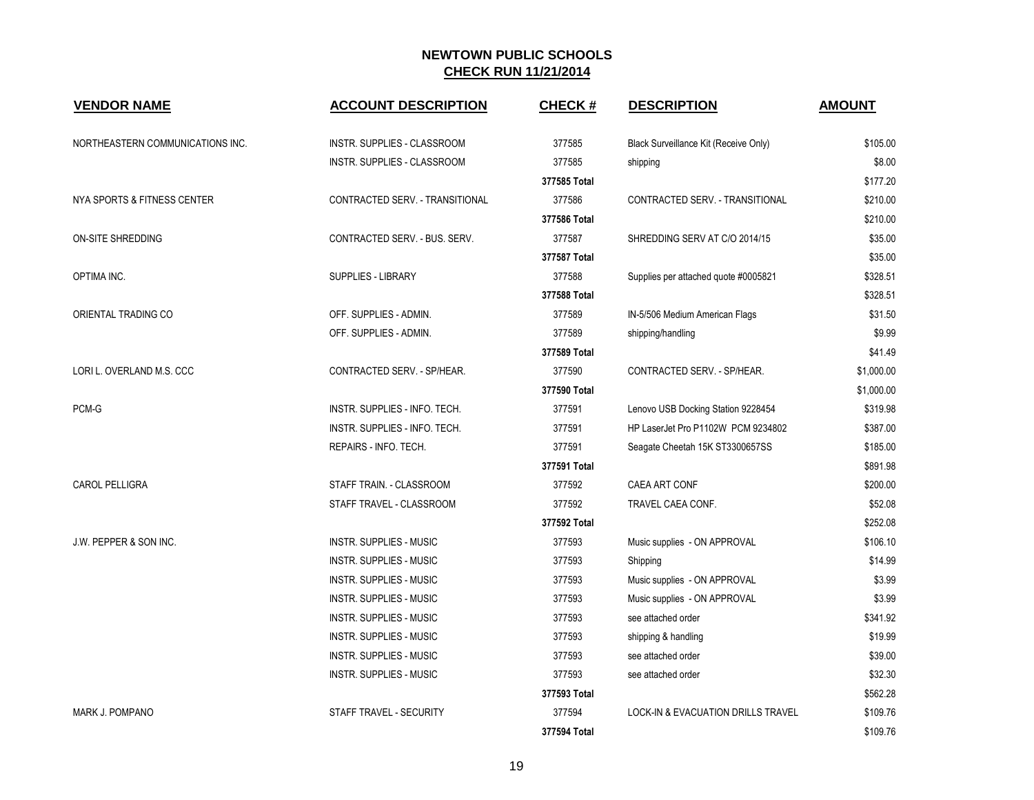| <b>VENDOR NAME</b>                | <b>ACCOUNT DESCRIPTION</b>         | <b>CHECK#</b> | <b>DESCRIPTION</b>                    | <b>AMOUNT</b> |
|-----------------------------------|------------------------------------|---------------|---------------------------------------|---------------|
| NORTHEASTERN COMMUNICATIONS INC.  | <b>INSTR. SUPPLIES - CLASSROOM</b> | 377585        | Black Surveillance Kit (Receive Only) | \$105.00      |
|                                   | <b>INSTR. SUPPLIES - CLASSROOM</b> | 377585        | shipping                              | \$8.00        |
|                                   |                                    | 377585 Total  |                                       | \$177.20      |
| NYA SPORTS & FITNESS CENTER       | CONTRACTED SERV. - TRANSITIONAL    | 377586        | CONTRACTED SERV. - TRANSITIONAL       | \$210.00      |
|                                   |                                    | 377586 Total  |                                       | \$210.00      |
| <b>ON-SITE SHREDDING</b>          | CONTRACTED SERV. - BUS. SERV.      | 377587        | SHREDDING SERV AT C/O 2014/15         | \$35.00       |
|                                   |                                    | 377587 Total  |                                       | \$35.00       |
| OPTIMA INC.                       | SUPPLIES - LIBRARY                 | 377588        | Supplies per attached quote #0005821  | \$328.51      |
|                                   |                                    | 377588 Total  |                                       | \$328.51      |
| ORIENTAL TRADING CO               | OFF. SUPPLIES - ADMIN.             | 377589        | IN-5/506 Medium American Flags        | \$31.50       |
|                                   | OFF. SUPPLIES - ADMIN.             | 377589        | shipping/handling                     | \$9.99        |
|                                   |                                    | 377589 Total  |                                       | \$41.49       |
| LORI L. OVERLAND M.S. CCC         | CONTRACTED SERV. - SP/HEAR.        | 377590        | CONTRACTED SERV. - SP/HEAR.           | \$1,000.00    |
|                                   |                                    | 377590 Total  |                                       | \$1,000.00    |
| PCM-G                             | INSTR. SUPPLIES - INFO. TECH.      | 377591        | Lenovo USB Docking Station 9228454    | \$319.98      |
|                                   | INSTR. SUPPLIES - INFO. TECH.      | 377591        | HP LaserJet Pro P1102W PCM 9234802    | \$387.00      |
|                                   | REPAIRS - INFO. TECH.              | 377591        | Seagate Cheetah 15K ST3300657SS       | \$185.00      |
|                                   |                                    | 377591 Total  |                                       | \$891.98      |
| <b>CAROL PELLIGRA</b>             | STAFF TRAIN. - CLASSROOM           | 377592        | CAEA ART CONF                         | \$200.00      |
|                                   | STAFF TRAVEL - CLASSROOM           | 377592        | TRAVEL CAEA CONF.                     | \$52.08       |
|                                   |                                    | 377592 Total  |                                       | \$252.08      |
| <b>J.W. PEPPER &amp; SON INC.</b> | <b>INSTR. SUPPLIES - MUSIC</b>     | 377593        | Music supplies - ON APPROVAL          | \$106.10      |
|                                   | <b>INSTR. SUPPLIES - MUSIC</b>     | 377593        | Shipping                              | \$14.99       |
|                                   | <b>INSTR. SUPPLIES - MUSIC</b>     | 377593        | Music supplies - ON APPROVAL          | \$3.99        |
|                                   | <b>INSTR. SUPPLIES - MUSIC</b>     | 377593        | Music supplies - ON APPROVAL          | \$3.99        |
|                                   | <b>INSTR. SUPPLIES - MUSIC</b>     | 377593        | see attached order                    | \$341.92      |
|                                   | <b>INSTR. SUPPLIES - MUSIC</b>     | 377593        | shipping & handling                   | \$19.99       |
|                                   | INSTR. SUPPLIES - MUSIC            | 377593        | see attached order                    | \$39.00       |
|                                   | INSTR. SUPPLIES - MUSIC            | 377593        | see attached order                    | \$32.30       |
|                                   |                                    | 377593 Total  |                                       | \$562.28      |
| <b>MARK J. POMPANO</b>            | STAFF TRAVEL - SECURITY            | 377594        | LOCK-IN & EVACUATION DRILLS TRAVEL    | \$109.76      |
|                                   |                                    | 377594 Total  |                                       | \$109.76      |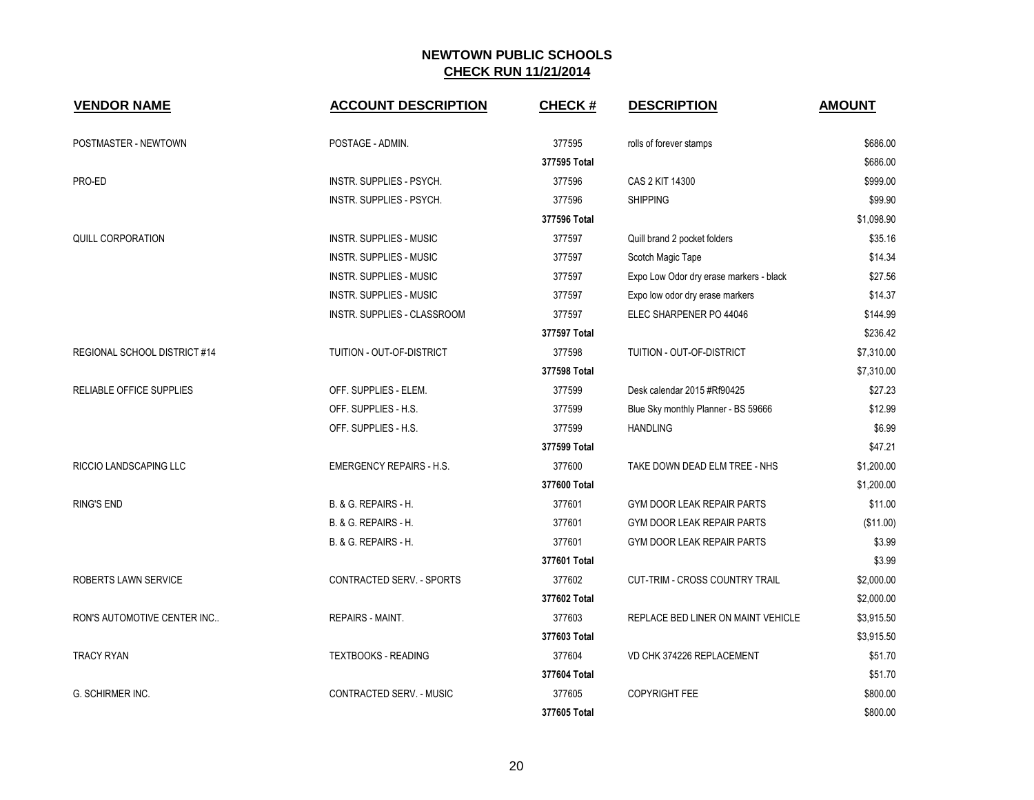| <b>VENDOR NAME</b>           | <b>ACCOUNT DESCRIPTION</b>         | <b>CHECK#</b> | <b>DESCRIPTION</b>                      | <b>AMOUNT</b> |
|------------------------------|------------------------------------|---------------|-----------------------------------------|---------------|
| POSTMASTER - NEWTOWN         | POSTAGE - ADMIN.                   | 377595        | rolls of forever stamps                 | \$686.00      |
|                              |                                    | 377595 Total  |                                         | \$686.00      |
| PRO-ED                       | INSTR. SUPPLIES - PSYCH.           | 377596        | CAS 2 KIT 14300                         | \$999.00      |
|                              | INSTR. SUPPLIES - PSYCH.           | 377596        | <b>SHIPPING</b>                         | \$99.90       |
|                              |                                    | 377596 Total  |                                         | \$1,098.90    |
| QUILL CORPORATION            | INSTR. SUPPLIES - MUSIC            | 377597        | Quill brand 2 pocket folders            | \$35.16       |
|                              | <b>INSTR. SUPPLIES - MUSIC</b>     | 377597        | Scotch Magic Tape                       | \$14.34       |
|                              | <b>INSTR. SUPPLIES - MUSIC</b>     | 377597        | Expo Low Odor dry erase markers - black | \$27.56       |
|                              | <b>INSTR. SUPPLIES - MUSIC</b>     | 377597        | Expo low odor dry erase markers         | \$14.37       |
|                              | <b>INSTR. SUPPLIES - CLASSROOM</b> | 377597        | ELEC SHARPENER PO 44046                 | \$144.99      |
|                              |                                    | 377597 Total  |                                         | \$236.42      |
| REGIONAL SCHOOL DISTRICT #14 | TUITION - OUT-OF-DISTRICT          | 377598        | TUITION - OUT-OF-DISTRICT               | \$7,310.00    |
|                              |                                    | 377598 Total  |                                         | \$7,310.00    |
| RELIABLE OFFICE SUPPLIES     | OFF. SUPPLIES - ELEM.              | 377599        | Desk calendar 2015 #Rf90425             | \$27.23       |
|                              | OFF. SUPPLIES - H.S.               | 377599        | Blue Sky monthly Planner - BS 59666     | \$12.99       |
|                              | OFF. SUPPLIES - H.S.               | 377599        | <b>HANDLING</b>                         | \$6.99        |
|                              |                                    | 377599 Total  |                                         | \$47.21       |
| RICCIO LANDSCAPING LLC       | <b>EMERGENCY REPAIRS - H.S.</b>    | 377600        | TAKE DOWN DEAD ELM TREE - NHS           | \$1,200.00    |
|                              |                                    | 377600 Total  |                                         | \$1,200.00    |
| <b>RING'S END</b>            | B. & G. REPAIRS - H.               | 377601        | GYM DOOR LEAK REPAIR PARTS              | \$11.00       |
|                              | B. & G. REPAIRS - H.               | 377601        | GYM DOOR LEAK REPAIR PARTS              | (\$11.00)     |
|                              | B. & G. REPAIRS - H.               | 377601        | GYM DOOR LEAK REPAIR PARTS              | \$3.99        |
|                              |                                    | 377601 Total  |                                         | \$3.99        |
| ROBERTS LAWN SERVICE         | CONTRACTED SERV. - SPORTS          | 377602        | CUT-TRIM - CROSS COUNTRY TRAIL          | \$2,000.00    |
|                              |                                    | 377602 Total  |                                         | \$2,000.00    |
| RON'S AUTOMOTIVE CENTER INC  | <b>REPAIRS - MAINT.</b>            | 377603        | REPLACE BED LINER ON MAINT VEHICLE      | \$3,915.50    |
|                              |                                    | 377603 Total  |                                         | \$3,915.50    |
| <b>TRACY RYAN</b>            | <b>TEXTBOOKS - READING</b>         | 377604        | VD CHK 374226 REPLACEMENT               | \$51.70       |
|                              |                                    | 377604 Total  |                                         | \$51.70       |
| G. SCHIRMER INC.             | CONTRACTED SERV. - MUSIC           | 377605        | <b>COPYRIGHT FEE</b>                    | \$800.00      |
|                              |                                    | 377605 Total  |                                         | \$800.00      |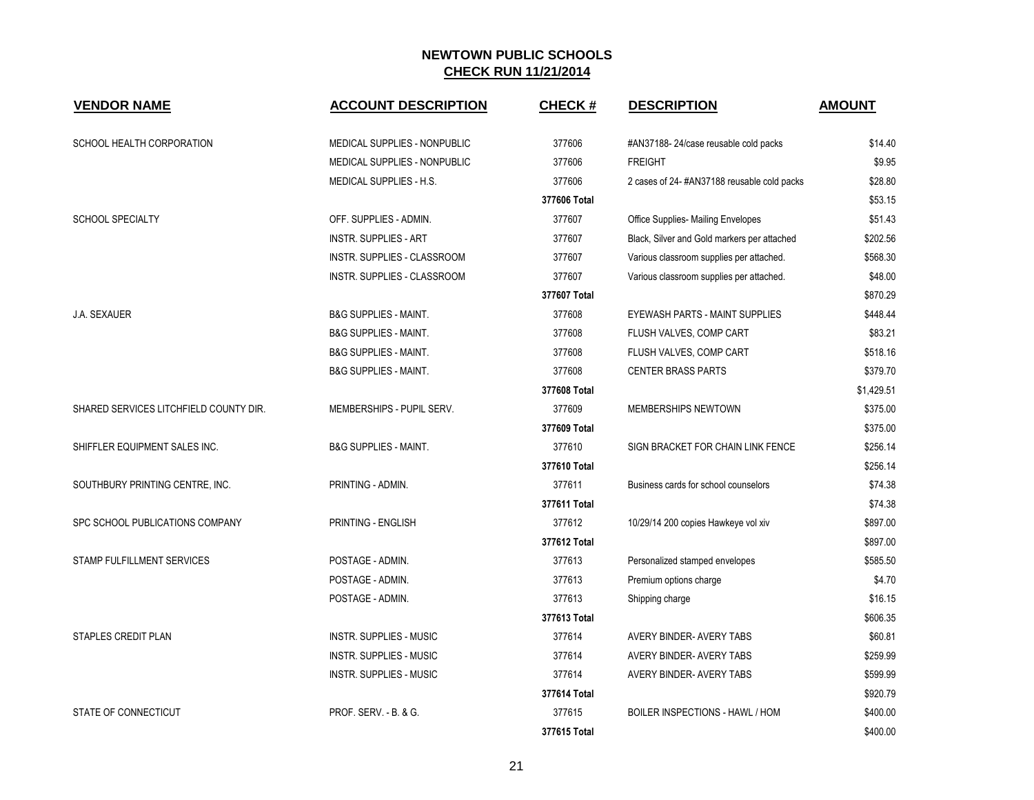| <b>VENDOR NAME</b>                     | <b>ACCOUNT DESCRIPTION</b>       | <b>CHECK#</b> | <b>DESCRIPTION</b>                          | <b>AMOUNT</b> |
|----------------------------------------|----------------------------------|---------------|---------------------------------------------|---------------|
| SCHOOL HEALTH CORPORATION              | MEDICAL SUPPLIES - NONPUBLIC     | 377606        | #AN37188-24/case reusable cold packs        | \$14.40       |
|                                        | MEDICAL SUPPLIES - NONPUBLIC     | 377606        | <b>FREIGHT</b>                              | \$9.95        |
|                                        | MEDICAL SUPPLIES - H.S.          | 377606        | 2 cases of 24-#AN37188 reusable cold packs  | \$28.80       |
|                                        |                                  | 377606 Total  |                                             | \$53.15       |
| <b>SCHOOL SPECIALTY</b>                | OFF. SUPPLIES - ADMIN.           | 377607        | Office Supplies- Mailing Envelopes          | \$51.43       |
|                                        | <b>INSTR. SUPPLIES - ART</b>     | 377607        | Black, Silver and Gold markers per attached | \$202.56      |
|                                        | INSTR. SUPPLIES - CLASSROOM      | 377607        | Various classroom supplies per attached.    | \$568.30      |
|                                        | INSTR. SUPPLIES - CLASSROOM      | 377607        | Various classroom supplies per attached.    | \$48.00       |
|                                        |                                  | 377607 Total  |                                             | \$870.29      |
| J.A. SEXAUER                           | <b>B&amp;G SUPPLIES - MAINT.</b> | 377608        | EYEWASH PARTS - MAINT SUPPLIES              | \$448.44      |
|                                        | <b>B&amp;G SUPPLIES - MAINT.</b> | 377608        | FLUSH VALVES, COMP CART                     | \$83.21       |
|                                        | <b>B&amp;G SUPPLIES - MAINT.</b> | 377608        | FLUSH VALVES, COMP CART                     | \$518.16      |
|                                        | <b>B&amp;G SUPPLIES - MAINT.</b> | 377608        | <b>CENTER BRASS PARTS</b>                   | \$379.70      |
|                                        |                                  | 377608 Total  |                                             | \$1,429.51    |
| SHARED SERVICES LITCHFIELD COUNTY DIR. | MEMBERSHIPS - PUPIL SERV.        | 377609        | MEMBERSHIPS NEWTOWN                         | \$375.00      |
|                                        |                                  | 377609 Total  |                                             | \$375.00      |
| SHIFFLER EQUIPMENT SALES INC.          | <b>B&amp;G SUPPLIES - MAINT.</b> | 377610        | SIGN BRACKET FOR CHAIN LINK FENCE           | \$256.14      |
|                                        |                                  | 377610 Total  |                                             | \$256.14      |
| SOUTHBURY PRINTING CENTRE, INC.        | PRINTING - ADMIN.                | 377611        | Business cards for school counselors        | \$74.38       |
|                                        |                                  | 377611 Total  |                                             | \$74.38       |
| SPC SCHOOL PUBLICATIONS COMPANY        | PRINTING - ENGLISH               | 377612        | 10/29/14 200 copies Hawkeye vol xiv         | \$897.00      |
|                                        |                                  | 377612 Total  |                                             | \$897.00      |
| <b>STAMP FULFILLMENT SERVICES</b>      | POSTAGE - ADMIN.                 | 377613        | Personalized stamped envelopes              | \$585.50      |
|                                        | POSTAGE - ADMIN.                 | 377613        | Premium options charge                      | \$4.70        |
|                                        | POSTAGE - ADMIN.                 | 377613        | Shipping charge                             | \$16.15       |
|                                        |                                  | 377613 Total  |                                             | \$606.35      |
| <b>STAPLES CREDIT PLAN</b>             | INSTR. SUPPLIES - MUSIC          | 377614        | AVERY BINDER- AVERY TABS                    | \$60.81       |
|                                        | <b>INSTR. SUPPLIES - MUSIC</b>   | 377614        | AVERY BINDER- AVERY TABS                    | \$259.99      |
|                                        | <b>INSTR. SUPPLIES - MUSIC</b>   | 377614        | AVERY BINDER- AVERY TABS                    | \$599.99      |
|                                        |                                  | 377614 Total  |                                             | \$920.79      |
| STATE OF CONNECTICUT                   | <b>PROF. SERV. - B. &amp; G.</b> | 377615        | BOILER INSPECTIONS - HAWL / HOM             | \$400.00      |
|                                        |                                  | 377615 Total  |                                             | \$400.00      |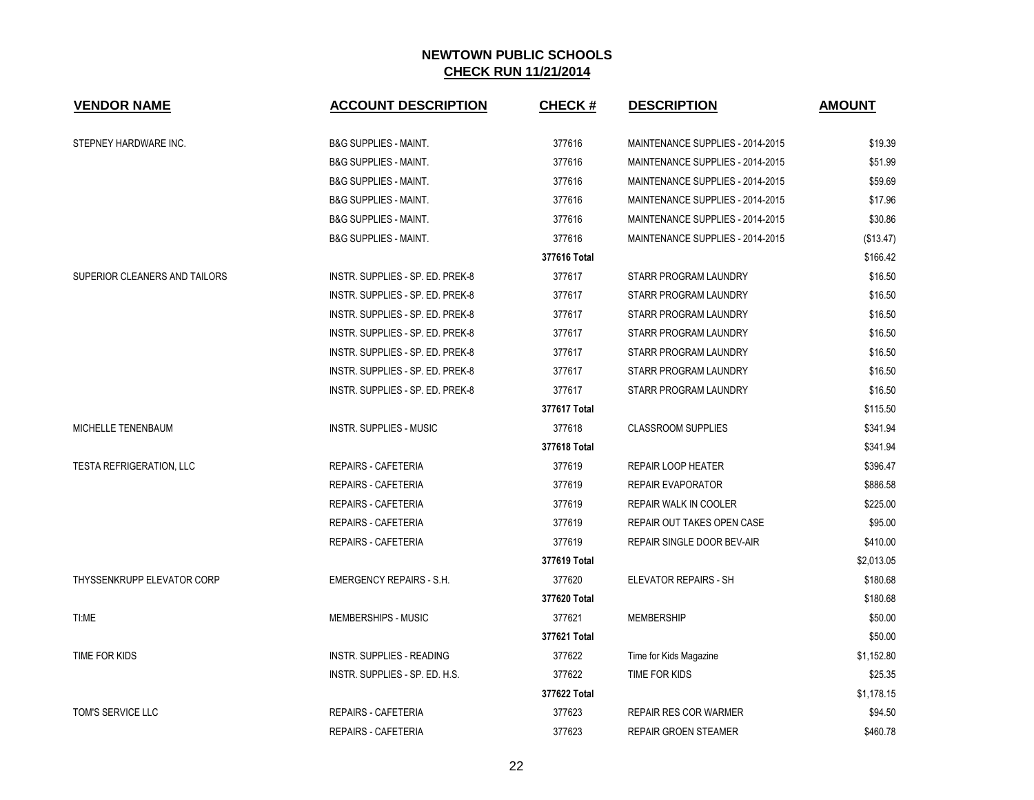| <b>VENDOR NAME</b>              | <b>ACCOUNT DESCRIPTION</b>       | <b>CHECK#</b> | <b>DESCRIPTION</b>               | <b>AMOUNT</b> |
|---------------------------------|----------------------------------|---------------|----------------------------------|---------------|
| STEPNEY HARDWARE INC.           | <b>B&amp;G SUPPLIES - MAINT.</b> | 377616        | MAINTENANCE SUPPLIES - 2014-2015 | \$19.39       |
|                                 | <b>B&amp;G SUPPLIES - MAINT.</b> | 377616        | MAINTENANCE SUPPLIES - 2014-2015 | \$51.99       |
|                                 | <b>B&amp;G SUPPLIES - MAINT.</b> | 377616        | MAINTENANCE SUPPLIES - 2014-2015 | \$59.69       |
|                                 | <b>B&amp;G SUPPLIES - MAINT.</b> | 377616        | MAINTENANCE SUPPLIES - 2014-2015 | \$17.96       |
|                                 | <b>B&amp;G SUPPLIES - MAINT.</b> | 377616        | MAINTENANCE SUPPLIES - 2014-2015 | \$30.86       |
|                                 | <b>B&amp;G SUPPLIES - MAINT.</b> | 377616        | MAINTENANCE SUPPLIES - 2014-2015 | (\$13.47)     |
|                                 |                                  | 377616 Total  |                                  | \$166.42      |
| SUPERIOR CLEANERS AND TAILORS   | INSTR. SUPPLIES - SP. ED. PREK-8 | 377617        | STARR PROGRAM LAUNDRY            | \$16.50       |
|                                 | INSTR. SUPPLIES - SP. ED. PREK-8 | 377617        | STARR PROGRAM LAUNDRY            | \$16.50       |
|                                 | INSTR. SUPPLIES - SP. ED. PREK-8 | 377617        | STARR PROGRAM LAUNDRY            | \$16.50       |
|                                 | INSTR. SUPPLIES - SP. ED. PREK-8 | 377617        | STARR PROGRAM LAUNDRY            | \$16.50       |
|                                 | INSTR. SUPPLIES - SP. ED. PREK-8 | 377617        | STARR PROGRAM LAUNDRY            | \$16.50       |
|                                 | INSTR. SUPPLIES - SP. ED. PREK-8 | 377617        | STARR PROGRAM LAUNDRY            | \$16.50       |
|                                 | INSTR. SUPPLIES - SP. ED. PREK-8 | 377617        | STARR PROGRAM LAUNDRY            | \$16.50       |
|                                 |                                  | 377617 Total  |                                  | \$115.50      |
| MICHELLE TENENBAUM              | <b>INSTR. SUPPLIES - MUSIC</b>   | 377618        | <b>CLASSROOM SUPPLIES</b>        | \$341.94      |
|                                 |                                  | 377618 Total  |                                  | \$341.94      |
| <b>TESTA REFRIGERATION, LLC</b> | REPAIRS - CAFETERIA              | 377619        | REPAIR LOOP HEATER               | \$396.47      |
|                                 | REPAIRS - CAFETERIA              | 377619        | <b>REPAIR EVAPORATOR</b>         | \$886.58      |
|                                 | REPAIRS - CAFETERIA              | 377619        | REPAIR WALK IN COOLER            | \$225.00      |
|                                 | <b>REPAIRS - CAFETERIA</b>       | 377619        | REPAIR OUT TAKES OPEN CASE       | \$95.00       |
|                                 | <b>REPAIRS - CAFETERIA</b>       | 377619        | REPAIR SINGLE DOOR BEV-AIR       | \$410.00      |
|                                 |                                  | 377619 Total  |                                  | \$2,013.05    |
| THYSSENKRUPP ELEVATOR CORP      | <b>EMERGENCY REPAIRS - S.H.</b>  | 377620        | ELEVATOR REPAIRS - SH            | \$180.68      |
|                                 |                                  | 377620 Total  |                                  | \$180.68      |
| TI:ME                           | MEMBERSHIPS - MUSIC              | 377621        | <b>MEMBERSHIP</b>                | \$50.00       |
|                                 |                                  | 377621 Total  |                                  | \$50.00       |
| TIME FOR KIDS                   | <b>INSTR. SUPPLIES - READING</b> | 377622        | Time for Kids Magazine           | \$1,152.80    |
|                                 | INSTR. SUPPLIES - SP. ED. H.S.   | 377622        | TIME FOR KIDS                    | \$25.35       |
|                                 |                                  | 377622 Total  |                                  | \$1,178.15    |
| TOM'S SERVICE LLC               | REPAIRS - CAFETERIA              | 377623        | <b>REPAIR RES COR WARMER</b>     | \$94.50       |
|                                 | <b>REPAIRS - CAFETERIA</b>       | 377623        | <b>REPAIR GROEN STEAMER</b>      | \$460.78      |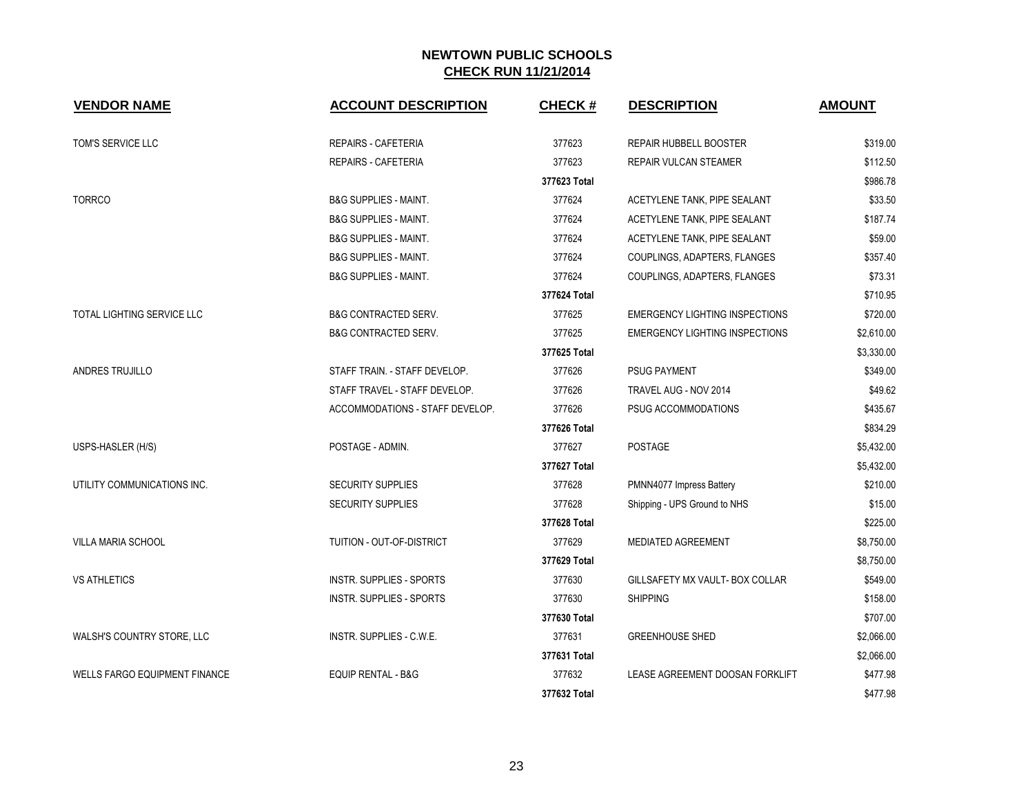| <b>VENDOR NAME</b>                   | <b>ACCOUNT DESCRIPTION</b>       | <b>CHECK#</b> | <b>DESCRIPTION</b>                    | <b>AMOUNT</b> |
|--------------------------------------|----------------------------------|---------------|---------------------------------------|---------------|
| TOM'S SERVICE LLC                    | REPAIRS - CAFETERIA              | 377623        | <b>REPAIR HUBBELL BOOSTER</b>         | \$319.00      |
|                                      | <b>REPAIRS - CAFETERIA</b>       | 377623        | REPAIR VULCAN STEAMER                 | \$112.50      |
|                                      |                                  | 377623 Total  |                                       | \$986.78      |
| <b>TORRCO</b>                        | <b>B&amp;G SUPPLIES - MAINT.</b> | 377624        | ACETYLENE TANK, PIPE SEALANT          | \$33.50       |
|                                      | <b>B&amp;G SUPPLIES - MAINT.</b> | 377624        | ACETYLENE TANK, PIPE SEALANT          | \$187.74      |
|                                      | <b>B&amp;G SUPPLIES - MAINT.</b> | 377624        | ACETYLENE TANK, PIPE SEALANT          | \$59.00       |
|                                      | <b>B&amp;G SUPPLIES - MAINT.</b> | 377624        | COUPLINGS, ADAPTERS, FLANGES          | \$357.40      |
|                                      | <b>B&amp;G SUPPLIES - MAINT.</b> | 377624        | COUPLINGS, ADAPTERS, FLANGES          | \$73.31       |
|                                      |                                  | 377624 Total  |                                       | \$710.95      |
| TOTAL LIGHTING SERVICE LLC           | <b>B&amp;G CONTRACTED SERV.</b>  | 377625        | <b>EMERGENCY LIGHTING INSPECTIONS</b> | \$720.00      |
|                                      | <b>B&amp;G CONTRACTED SERV.</b>  | 377625        | <b>EMERGENCY LIGHTING INSPECTIONS</b> | \$2,610.00    |
|                                      |                                  | 377625 Total  |                                       | \$3,330.00    |
| ANDRES TRUJILLO                      | STAFF TRAIN. - STAFF DEVELOP.    | 377626        | <b>PSUG PAYMENT</b>                   | \$349.00      |
|                                      | STAFF TRAVEL - STAFF DEVELOP.    | 377626        | TRAVEL AUG - NOV 2014                 | \$49.62       |
|                                      | ACCOMMODATIONS - STAFF DEVELOP.  | 377626        | PSUG ACCOMMODATIONS                   | \$435.67      |
|                                      |                                  | 377626 Total  |                                       | \$834.29      |
| USPS-HASLER (H/S)                    | POSTAGE - ADMIN.                 | 377627        | <b>POSTAGE</b>                        | \$5,432.00    |
|                                      |                                  | 377627 Total  |                                       | \$5,432.00    |
| UTILITY COMMUNICATIONS INC.          | <b>SECURITY SUPPLIES</b>         | 377628        | PMNN4077 Impress Battery              | \$210.00      |
|                                      | <b>SECURITY SUPPLIES</b>         | 377628        | Shipping - UPS Ground to NHS          | \$15.00       |
|                                      |                                  | 377628 Total  |                                       | \$225.00      |
| VILLA MARIA SCHOOL                   | TUITION - OUT-OF-DISTRICT        | 377629        | <b>MEDIATED AGREEMENT</b>             | \$8,750.00    |
|                                      |                                  | 377629 Total  |                                       | \$8,750.00    |
| <b>VS ATHLETICS</b>                  | <b>INSTR. SUPPLIES - SPORTS</b>  | 377630        | GILLSAFETY MX VAULT- BOX COLLAR       | \$549.00      |
|                                      | <b>INSTR. SUPPLIES - SPORTS</b>  | 377630        | <b>SHIPPING</b>                       | \$158.00      |
|                                      |                                  | 377630 Total  |                                       | \$707.00      |
| WALSH'S COUNTRY STORE, LLC           | <b>INSTR. SUPPLIES - C.W.E.</b>  | 377631        | <b>GREENHOUSE SHED</b>                | \$2,066.00    |
|                                      |                                  | 377631 Total  |                                       | \$2,066.00    |
| <b>WELLS FARGO EQUIPMENT FINANCE</b> | <b>EQUIP RENTAL - B&amp;G</b>    | 377632        | LEASE AGREEMENT DOOSAN FORKLIFT       | \$477.98      |
|                                      |                                  | 377632 Total  |                                       | \$477.98      |